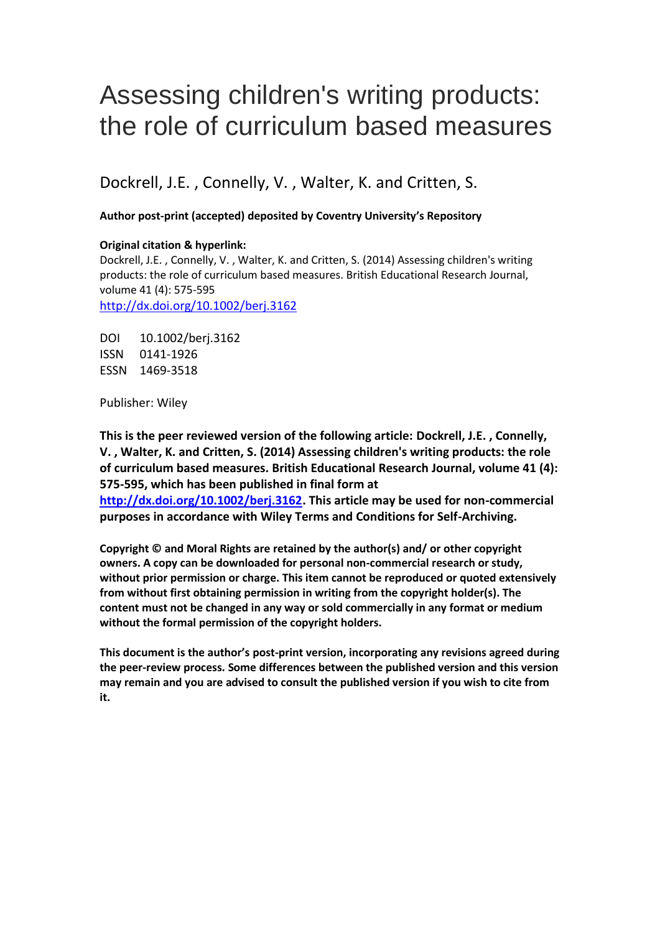# Assessing children's writing products: the role of curriculum based measures

Dockrell, J.E. , Connelly, V. , Walter, K. and Critten, S.

## **Author post-print (accepted) deposited by Coventry University's Repository**

## **Original citation & hyperlink:**

Dockrell, J.E. , Connelly, V. , Walter, K. and Critten, S. (2014) Assessing children's writing products: the role of curriculum based measures. British Educational Research Journal, volume 41 (4): 575-595

<http://dx.doi.org/10.1002/berj.3162>

DOI 10.1002/berj.3162 ISSN 0141-1926 ESSN 1469-3518

Publisher: Wiley

**This is the peer reviewed version of the following article: Dockrell, J.E. , Connelly, V. , Walter, K. and Critten, S. (2014) Assessing children's writing products: the role of curriculum based measures. British Educational Research Journal, volume 41 (4): 575-595, which has been published in final form at [http://dx.doi.org/10.1002/berj.3162.](http://dx.doi.org/10.1002/berj.3162) This article may be used for non-commercial purposes in accordance with Wiley Terms and Conditions for Self-Archiving.**

**Copyright © and Moral Rights are retained by the author(s) and/ or other copyright owners. A copy can be downloaded for personal non-commercial research or study, without prior permission or charge. This item cannot be reproduced or quoted extensively from without first obtaining permission in writing from the copyright holder(s). The content must not be changed in any way or sold commercially in any format or medium without the formal permission of the copyright holders.** 

**This document is the author's post-print version, incorporating any revisions agreed during the peer-review process. Some differences between the published version and this version may remain and you are advised to consult the published version if you wish to cite from it.**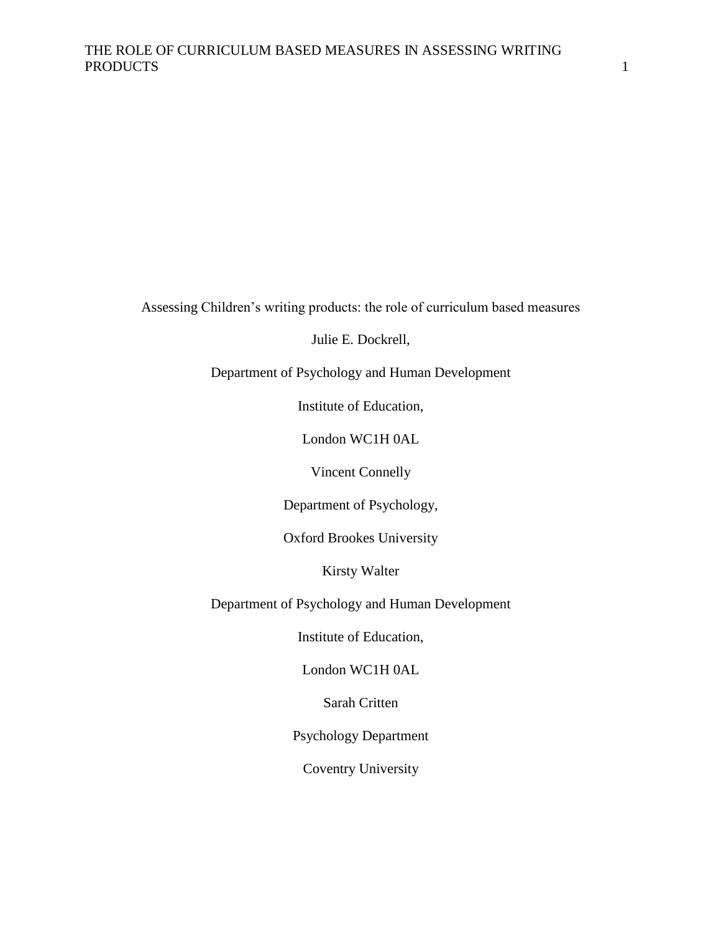Assessing Children's writing products: the role of curriculum based measures

Julie E. Dockrell,

Department of Psychology and Human Development

Institute of Education,

London WC1H 0AL

Vincent Connelly

Department of Psychology,

Oxford Brookes University

Kirsty Walter

Department of Psychology and Human Development

Institute of Education,

London WC1H 0AL

Sarah Critten

Psychology Department

Coventry University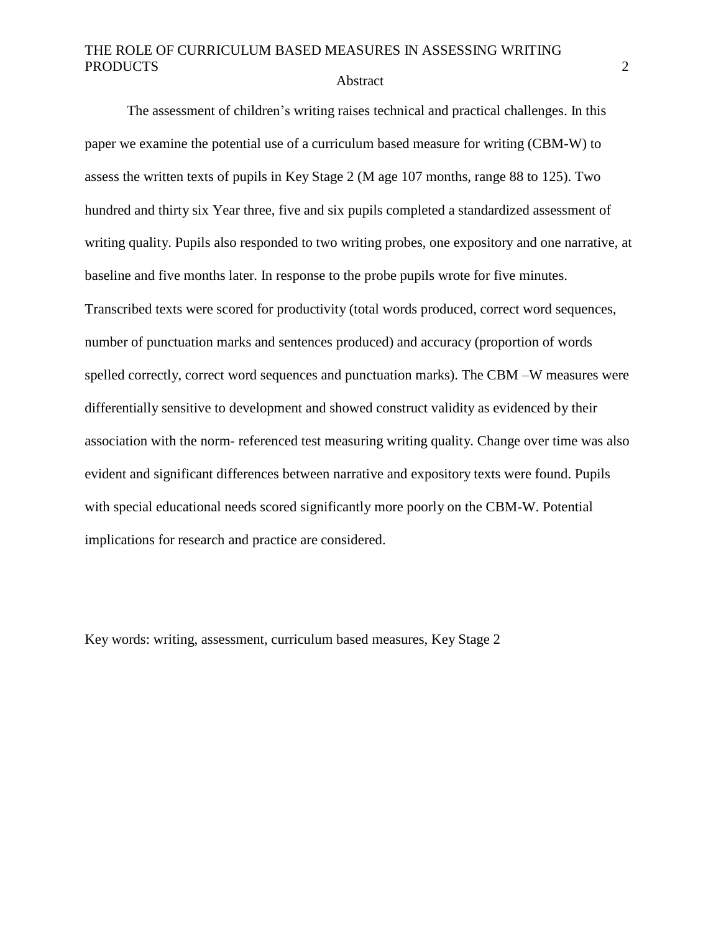#### Abstract

The assessment of children's writing raises technical and practical challenges. In this paper we examine the potential use of a curriculum based measure for writing (CBM-W) to assess the written texts of pupils in Key Stage 2 (M age 107 months, range 88 to 125). Two hundred and thirty six Year three, five and six pupils completed a standardized assessment of writing quality. Pupils also responded to two writing probes, one expository and one narrative, at baseline and five months later. In response to the probe pupils wrote for five minutes. Transcribed texts were scored for productivity (total words produced, correct word sequences, number of punctuation marks and sentences produced) and accuracy (proportion of words spelled correctly, correct word sequences and punctuation marks). The CBM –W measures were differentially sensitive to development and showed construct validity as evidenced by their association with the norm- referenced test measuring writing quality. Change over time was also evident and significant differences between narrative and expository texts were found. Pupils with special educational needs scored significantly more poorly on the CBM-W. Potential implications for research and practice are considered.

Key words: writing, assessment, curriculum based measures, Key Stage 2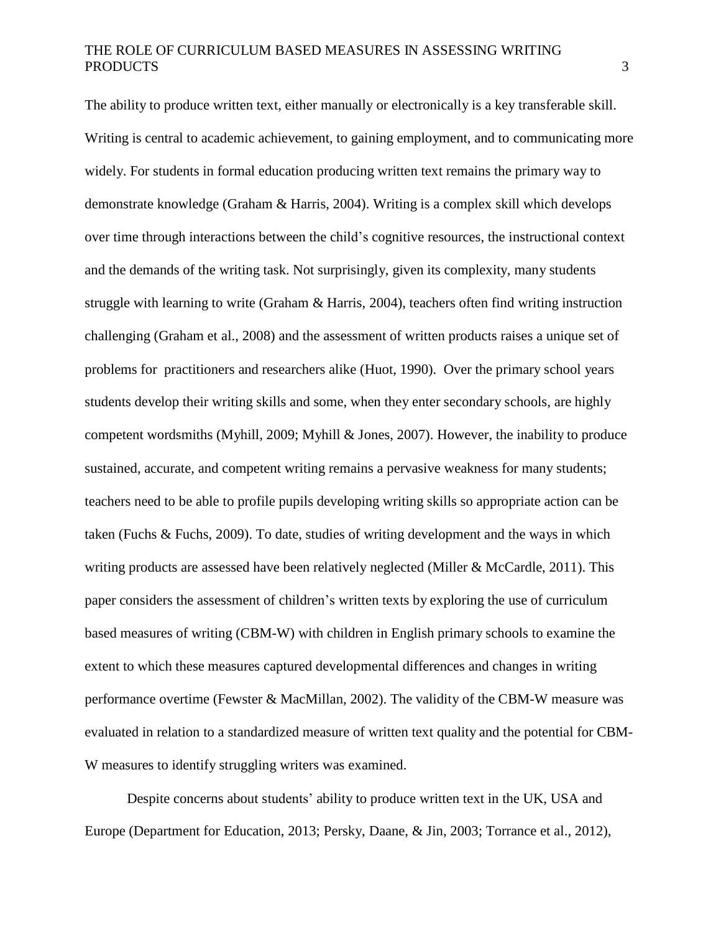The ability to produce written text, either manually or electronically is a key transferable skill. Writing is central to academic achievement, to gaining employment, and to communicating more widely. For students in formal education producing written text remains the primary way to demonstrate knowledge (Graham & Harris, 2004). Writing is a complex skill which develops over time through interactions between the child's cognitive resources, the instructional context and the demands of the writing task. Not surprisingly, given its complexity, many students struggle with learning to write (Graham & Harris, 2004), teachers often find writing instruction challenging (Graham et al., 2008) and the assessment of written products raises a unique set of problems for practitioners and researchers alike (Huot, 1990). Over the primary school years students develop their writing skills and some, when they enter secondary schools, are highly competent wordsmiths (Myhill, 2009; Myhill & Jones, 2007). However, the inability to produce sustained, accurate, and competent writing remains a pervasive weakness for many students; teachers need to be able to profile pupils developing writing skills so appropriate action can be taken (Fuchs & Fuchs, 2009). To date, studies of writing development and the ways in which writing products are assessed have been relatively neglected (Miller & McCardle, 2011). This paper considers the assessment of children's written texts by exploring the use of curriculum based measures of writing (CBM-W) with children in English primary schools to examine the extent to which these measures captured developmental differences and changes in writing performance overtime (Fewster & MacMillan, 2002). The validity of the CBM-W measure was evaluated in relation to a standardized measure of written text quality and the potential for CBM-W measures to identify struggling writers was examined.

Despite concerns about students' ability to produce written text in the UK, USA and Europe (Department for Education, 2013; Persky, Daane, & Jin, 2003; Torrance et al., 2012),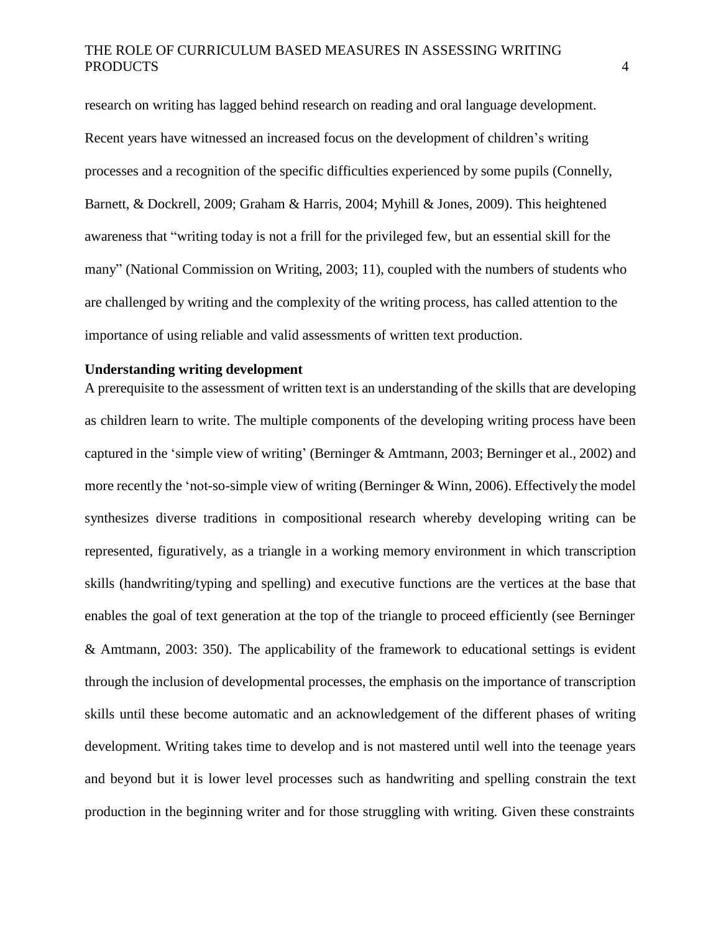research on writing has lagged behind research on reading and oral language development. Recent years have witnessed an increased focus on the development of children's writing processes and a recognition of the specific difficulties experienced by some pupils (Connelly, Barnett, & Dockrell, 2009; Graham & Harris, 2004; Myhill & Jones, 2009). This heightened awareness that "writing today is not a frill for the privileged few, but an essential skill for the many" (National Commission on Writing, 2003; 11), coupled with the numbers of students who are challenged by writing and the complexity of the writing process, has called attention to the importance of using reliable and valid assessments of written text production.

## **Understanding writing development**

A prerequisite to the assessment of written text is an understanding of the skills that are developing as children learn to write. The multiple components of the developing writing process have been captured in the 'simple view of writing' (Berninger & Amtmann, 2003; Berninger et al., 2002) and more recently the 'not-so-simple view of writing (Berninger & Winn, 2006). Effectively the model synthesizes diverse traditions in compositional research whereby developing writing can be represented, figuratively, as a triangle in a working memory environment in which transcription skills (handwriting/typing and spelling) and executive functions are the vertices at the base that enables the goal of text generation at the top of the triangle to proceed efficiently (see Berninger & Amtmann, 2003: 350). The applicability of the framework to educational settings is evident through the inclusion of developmental processes, the emphasis on the importance of transcription skills until these become automatic and an acknowledgement of the different phases of writing development. Writing takes time to develop and is not mastered until well into the teenage years and beyond but it is lower level processes such as handwriting and spelling constrain the text production in the beginning writer and for those struggling with writing. Given these constraints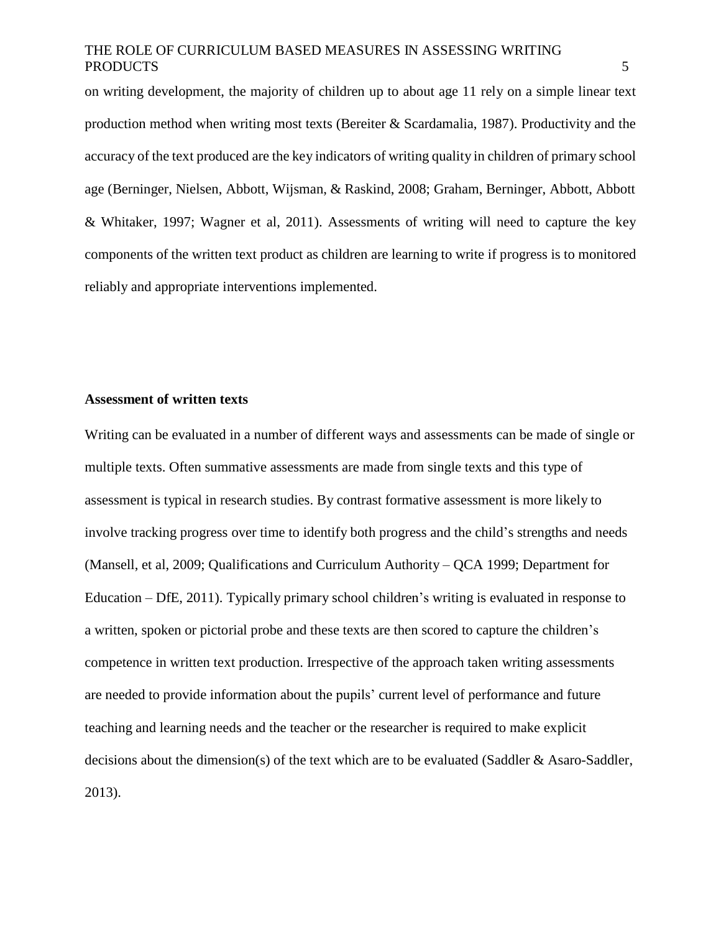on writing development, the majority of children up to about age 11 rely on a simple linear text production method when writing most texts (Bereiter & Scardamalia, 1987). Productivity and the accuracy of the text produced are the key indicators of writing quality in children of primary school age (Berninger, Nielsen, Abbott, Wijsman, & Raskind, 2008; Graham, Berninger, Abbott, Abbott & Whitaker, 1997; Wagner et al, 2011). Assessments of writing will need to capture the key components of the written text product as children are learning to write if progress is to monitored reliably and appropriate interventions implemented.

#### **Assessment of written texts**

Writing can be evaluated in a number of different ways and assessments can be made of single or multiple texts. Often summative assessments are made from single texts and this type of assessment is typical in research studies. By contrast formative assessment is more likely to involve tracking progress over time to identify both progress and the child's strengths and needs (Mansell, et al, 2009; Qualifications and Curriculum Authority – QCA 1999; Department for Education – DfE, 2011). Typically primary school children's writing is evaluated in response to a written, spoken or pictorial probe and these texts are then scored to capture the children's competence in written text production. Irrespective of the approach taken writing assessments are needed to provide information about the pupils' current level of performance and future teaching and learning needs and the teacher or the researcher is required to make explicit decisions about the dimension(s) of the text which are to be evaluated (Saddler & Asaro-Saddler, 2013).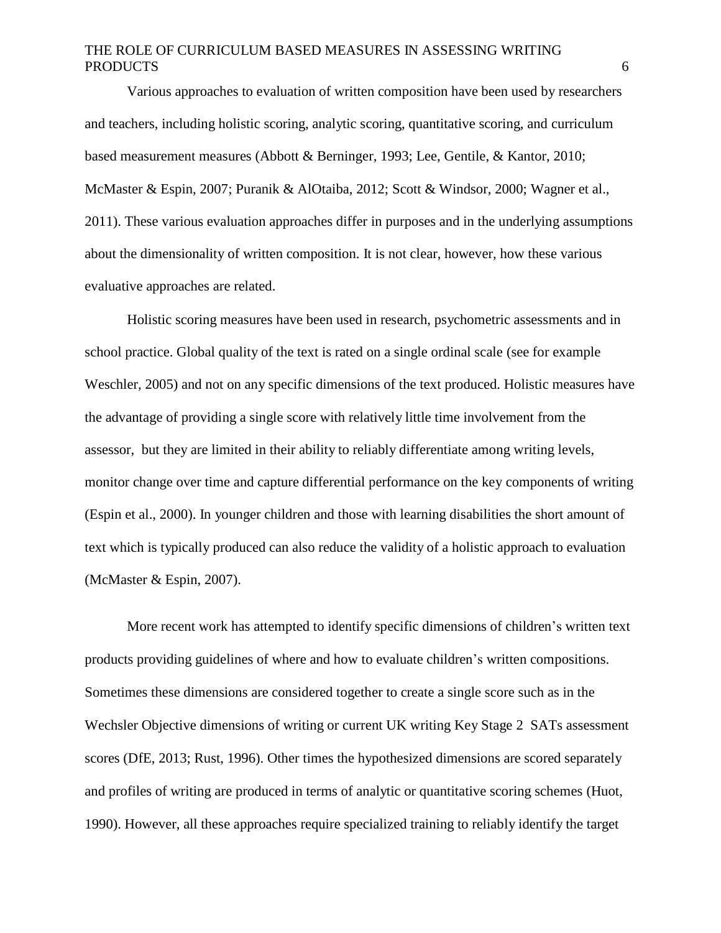Various approaches to evaluation of written composition have been used by researchers and teachers, including holistic scoring, analytic scoring, quantitative scoring, and curriculum based measurement measures (Abbott & Berninger, 1993; Lee, Gentile, & Kantor, 2010; McMaster & Espin, 2007; Puranik & AlOtaiba, 2012; Scott & Windsor, 2000; Wagner et al., 2011). These various evaluation approaches differ in purposes and in the underlying assumptions about the dimensionality of written composition. It is not clear, however, how these various evaluative approaches are related.

Holistic scoring measures have been used in research, psychometric assessments and in school practice. Global quality of the text is rated on a single ordinal scale (see for example Weschler, 2005) and not on any specific dimensions of the text produced. Holistic measures have the advantage of providing a single score with relatively little time involvement from the assessor, but they are limited in their ability to reliably differentiate among writing levels, monitor change over time and capture differential performance on the key components of writing (Espin et al., 2000). In younger children and those with learning disabilities the short amount of text which is typically produced can also reduce the validity of a holistic approach to evaluation (McMaster & Espin, 2007).

More recent work has attempted to identify specific dimensions of children's written text products providing guidelines of where and how to evaluate children's written compositions. Sometimes these dimensions are considered together to create a single score such as in the Wechsler Objective dimensions of writing or current UK writing Key Stage 2 SATs assessment scores (DfE, 2013; Rust, 1996). Other times the hypothesized dimensions are scored separately and profiles of writing are produced in terms of analytic or quantitative scoring schemes (Huot, 1990). However, all these approaches require specialized training to reliably identify the target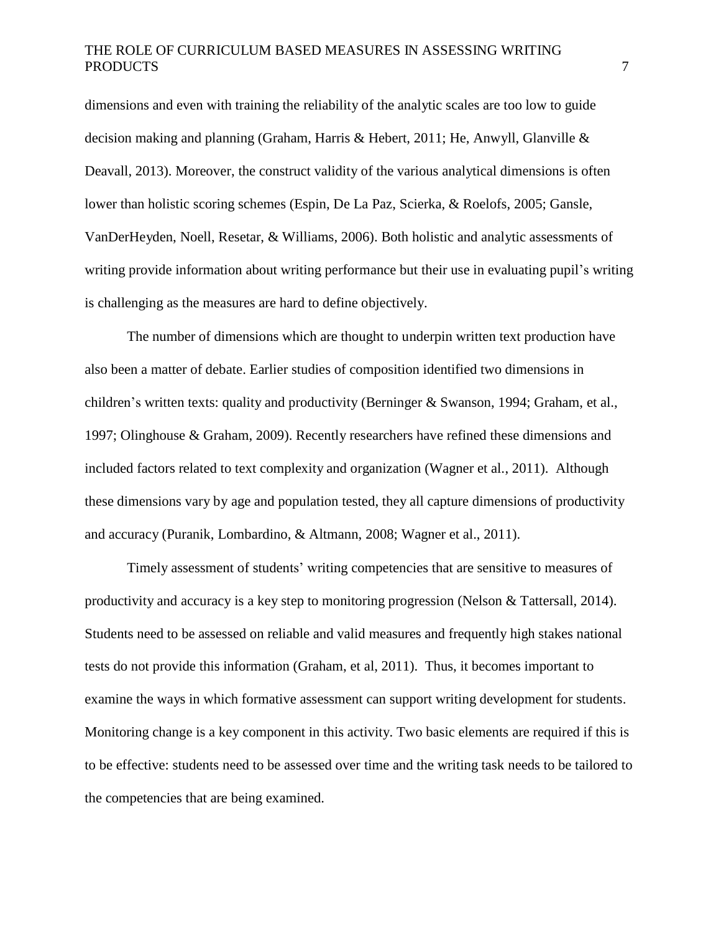dimensions and even with training the reliability of the analytic scales are too low to guide decision making and planning (Graham, Harris & Hebert, 2011; He, Anwyll, Glanville & Deavall, 2013). Moreover, the construct validity of the various analytical dimensions is often lower than holistic scoring schemes (Espin, De La Paz, Scierka, & Roelofs, 2005; Gansle, VanDerHeyden, Noell, Resetar, & Williams, 2006). Both holistic and analytic assessments of writing provide information about writing performance but their use in evaluating pupil's writing is challenging as the measures are hard to define objectively.

The number of dimensions which are thought to underpin written text production have also been a matter of debate. Earlier studies of composition identified two dimensions in children's written texts: quality and productivity (Berninger & Swanson, 1994; Graham, et al., 1997; Olinghouse & Graham, 2009). Recently researchers have refined these dimensions and included factors related to text complexity and organization (Wagner et al., 2011). Although these dimensions vary by age and population tested, they all capture dimensions of productivity and accuracy (Puranik, Lombardino, & Altmann, 2008; Wagner et al., 2011).

Timely assessment of students' writing competencies that are sensitive to measures of productivity and accuracy is a key step to monitoring progression (Nelson & Tattersall, 2014). Students need to be assessed on reliable and valid measures and frequently high stakes national tests do not provide this information (Graham, et al, 2011). Thus, it becomes important to examine the ways in which formative assessment can support writing development for students. Monitoring change is a key component in this activity. Two basic elements are required if this is to be effective: students need to be assessed over time and the writing task needs to be tailored to the competencies that are being examined.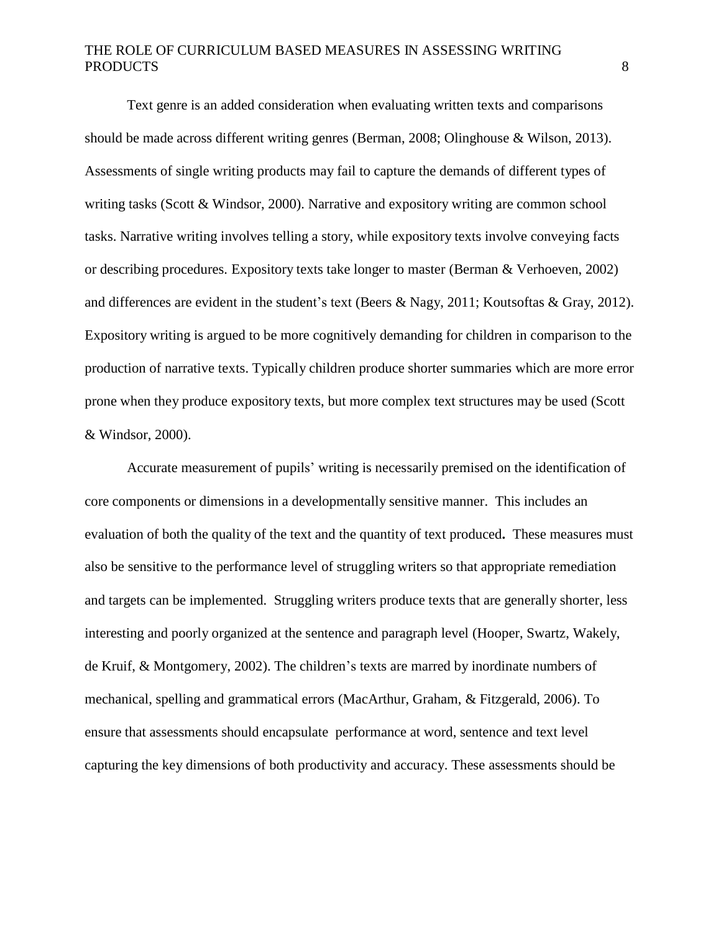Text genre is an added consideration when evaluating written texts and comparisons should be made across different writing genres (Berman, 2008; Olinghouse & Wilson, 2013). Assessments of single writing products may fail to capture the demands of different types of writing tasks (Scott & Windsor, 2000). Narrative and expository writing are common school tasks. Narrative writing involves telling a story, while expository texts involve conveying facts or describing procedures. Expository texts take longer to master (Berman & Verhoeven, 2002) and differences are evident in the student's text (Beers & Nagy, 2011; Koutsoftas & Gray, 2012). Expository writing is argued to be more cognitively demanding for children in comparison to the production of narrative texts. Typically children produce shorter summaries which are more error prone when they produce expository texts, but more complex text structures may be used (Scott & Windsor, 2000).

Accurate measurement of pupils' writing is necessarily premised on the identification of core components or dimensions in a developmentally sensitive manner. This includes an evaluation of both the quality of the text and the quantity of text produced**.** These measures must also be sensitive to the performance level of struggling writers so that appropriate remediation and targets can be implemented. Struggling writers produce texts that are generally shorter, less interesting and poorly organized at the sentence and paragraph level (Hooper, Swartz, Wakely, de Kruif, & Montgomery, 2002). The children's texts are marred by inordinate numbers of mechanical, spelling and grammatical errors (MacArthur, Graham, & Fitzgerald, 2006). To ensure that assessments should encapsulate performance at word, sentence and text level capturing the key dimensions of both productivity and accuracy. These assessments should be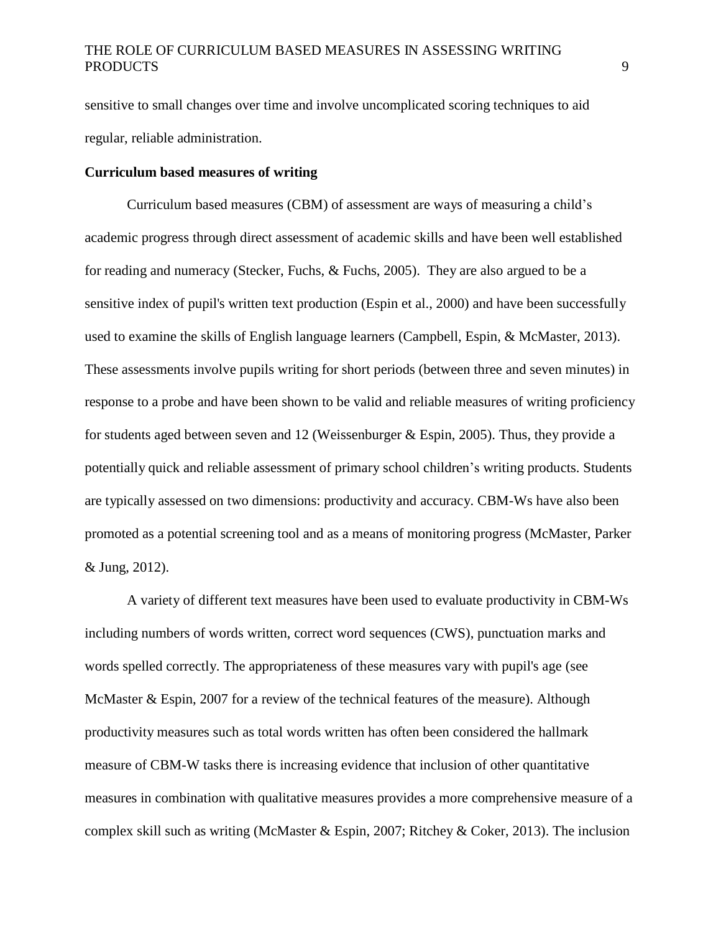sensitive to small changes over time and involve uncomplicated scoring techniques to aid regular, reliable administration.

## **Curriculum based measures of writing**

Curriculum based measures (CBM) of assessment are ways of measuring a child's academic progress through direct assessment of academic skills and have been well established for reading and numeracy (Stecker, Fuchs, & Fuchs, 2005). They are also argued to be a sensitive index of pupil's written text production (Espin et al., 2000) and have been successfully used to examine the skills of English language learners (Campbell, Espin, & McMaster, 2013). These assessments involve pupils writing for short periods (between three and seven minutes) in response to a probe and have been shown to be valid and reliable measures of writing proficiency for students aged between seven and 12 (Weissenburger & Espin, 2005). Thus, they provide a potentially quick and reliable assessment of primary school children's writing products. Students are typically assessed on two dimensions: productivity and accuracy. CBM-Ws have also been promoted as a potential screening tool and as a means of monitoring progress (McMaster, Parker & Jung, 2012).

A variety of different text measures have been used to evaluate productivity in CBM-Ws including numbers of words written, correct word sequences (CWS), punctuation marks and words spelled correctly. The appropriateness of these measures vary with pupil's age (see McMaster & Espin, 2007 for a review of the technical features of the measure). Although productivity measures such as total words written has often been considered the hallmark measure of CBM-W tasks there is increasing evidence that inclusion of other quantitative measures in combination with qualitative measures provides a more comprehensive measure of a complex skill such as writing (McMaster & Espin, 2007; Ritchey & Coker, 2013). The inclusion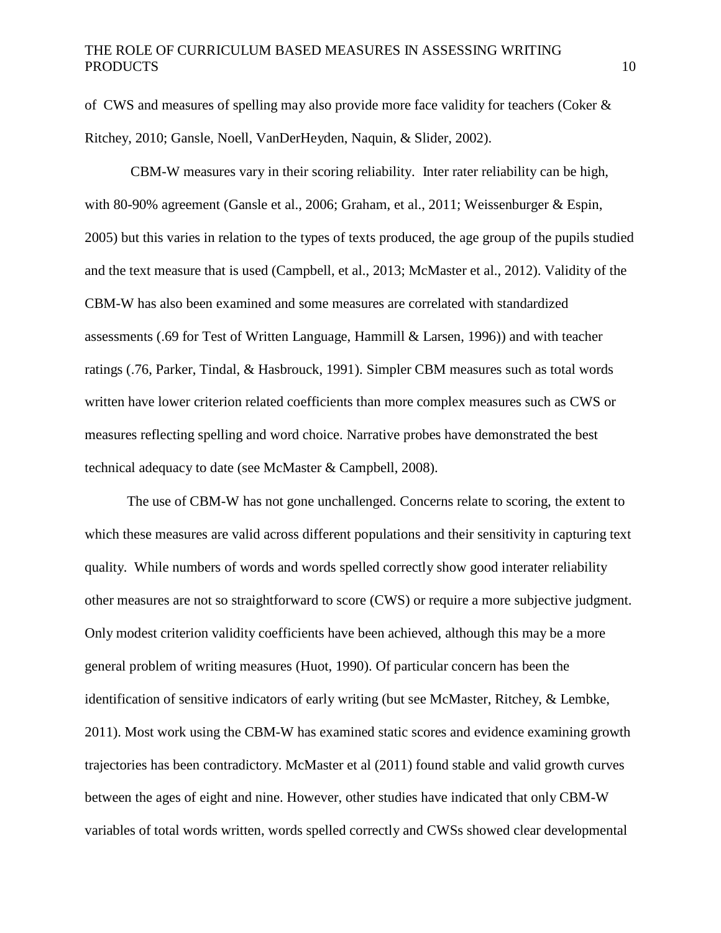of CWS and measures of spelling may also provide more face validity for teachers (Coker & Ritchey, 2010; Gansle, Noell, VanDerHeyden, Naquin, & Slider, 2002).

CBM-W measures vary in their scoring reliability. Inter rater reliability can be high, with 80-90% agreement (Gansle et al., 2006; Graham, et al., 2011; Weissenburger & Espin, 2005) but this varies in relation to the types of texts produced, the age group of the pupils studied and the text measure that is used (Campbell, et al., 2013; McMaster et al., 2012). Validity of the CBM-W has also been examined and some measures are correlated with standardized assessments (.69 for Test of Written Language, Hammill & Larsen, 1996)) and with teacher ratings (.76, Parker, Tindal, & Hasbrouck, 1991). Simpler CBM measures such as total words written have lower criterion related coefficients than more complex measures such as CWS or measures reflecting spelling and word choice. Narrative probes have demonstrated the best technical adequacy to date (see McMaster & Campbell, 2008).

The use of CBM-W has not gone unchallenged. Concerns relate to scoring, the extent to which these measures are valid across different populations and their sensitivity in capturing text quality. While numbers of words and words spelled correctly show good interater reliability other measures are not so straightforward to score (CWS) or require a more subjective judgment. Only modest criterion validity coefficients have been achieved, although this may be a more general problem of writing measures (Huot, 1990). Of particular concern has been the identification of sensitive indicators of early writing (but see McMaster, Ritchey, & Lembke, 2011). Most work using the CBM-W has examined static scores and evidence examining growth trajectories has been contradictory. McMaster et al (2011) found stable and valid growth curves between the ages of eight and nine. However, other studies have indicated that only CBM-W variables of total words written, words spelled correctly and CWSs showed clear developmental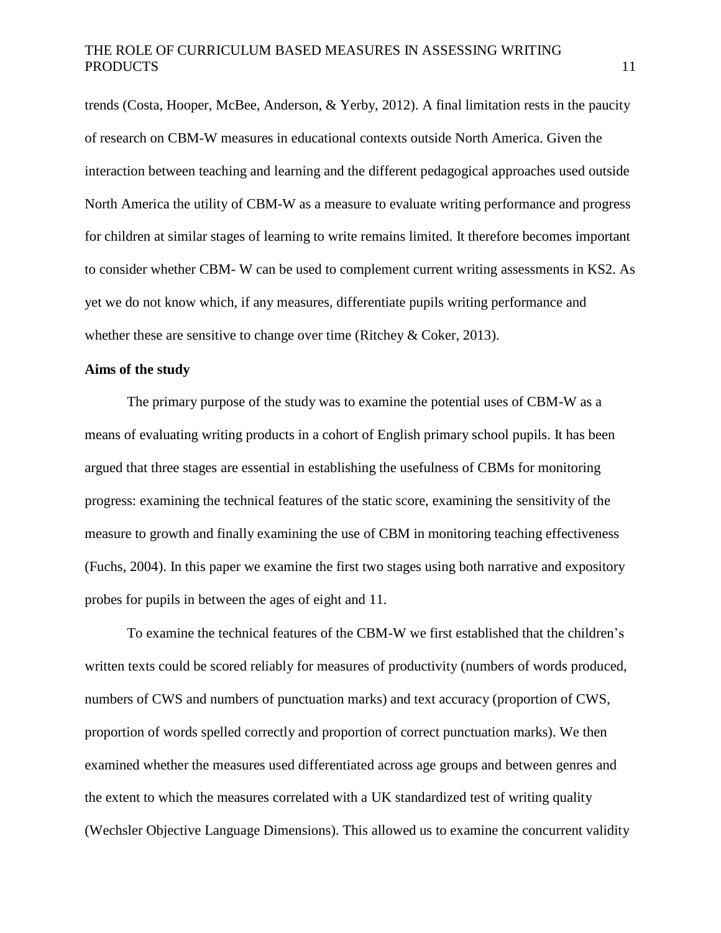trends (Costa, Hooper, McBee, Anderson, & Yerby, 2012). A final limitation rests in the paucity of research on CBM-W measures in educational contexts outside North America. Given the interaction between teaching and learning and the different pedagogical approaches used outside North America the utility of CBM-W as a measure to evaluate writing performance and progress for children at similar stages of learning to write remains limited. It therefore becomes important to consider whether CBM- W can be used to complement current writing assessments in KS2. As yet we do not know which, if any measures, differentiate pupils writing performance and whether these are sensitive to change over time (Ritchey & Coker, 2013).

## **Aims of the study**

The primary purpose of the study was to examine the potential uses of CBM-W as a means of evaluating writing products in a cohort of English primary school pupils. It has been argued that three stages are essential in establishing the usefulness of CBMs for monitoring progress: examining the technical features of the static score, examining the sensitivity of the measure to growth and finally examining the use of CBM in monitoring teaching effectiveness (Fuchs, 2004). In this paper we examine the first two stages using both narrative and expository probes for pupils in between the ages of eight and 11.

To examine the technical features of the CBM-W we first established that the children's written texts could be scored reliably for measures of productivity (numbers of words produced, numbers of CWS and numbers of punctuation marks) and text accuracy (proportion of CWS, proportion of words spelled correctly and proportion of correct punctuation marks). We then examined whether the measures used differentiated across age groups and between genres and the extent to which the measures correlated with a UK standardized test of writing quality (Wechsler Objective Language Dimensions). This allowed us to examine the concurrent validity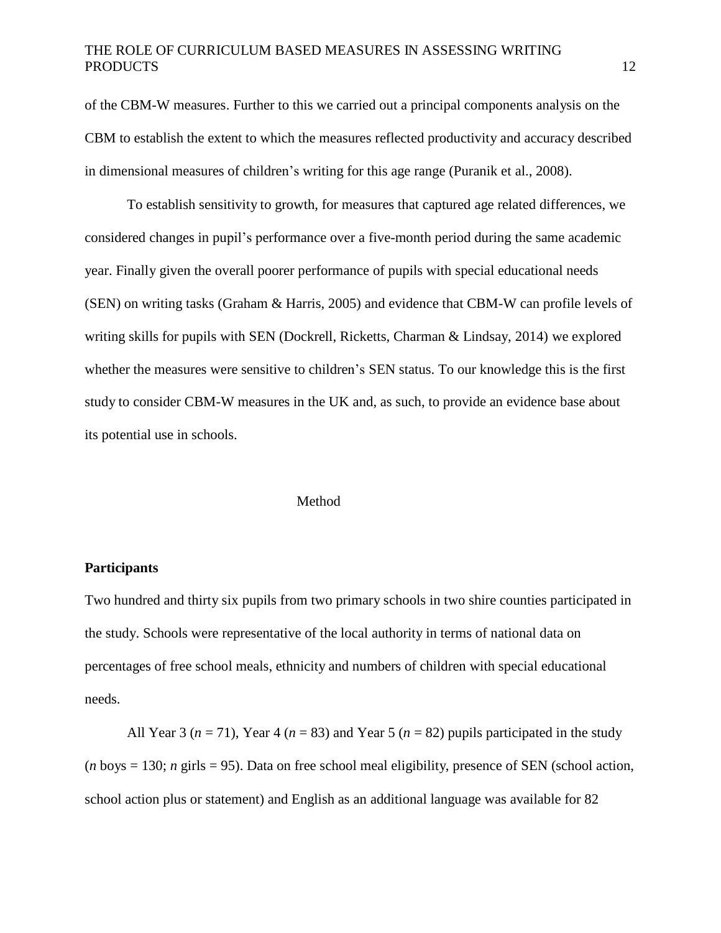of the CBM-W measures. Further to this we carried out a principal components analysis on the CBM to establish the extent to which the measures reflected productivity and accuracy described in dimensional measures of children's writing for this age range (Puranik et al., 2008).

To establish sensitivity to growth, for measures that captured age related differences, we considered changes in pupil's performance over a five-month period during the same academic year. Finally given the overall poorer performance of pupils with special educational needs (SEN) on writing tasks (Graham & Harris, 2005) and evidence that CBM-W can profile levels of writing skills for pupils with SEN (Dockrell, Ricketts, Charman & Lindsay, 2014) we explored whether the measures were sensitive to children's SEN status. To our knowledge this is the first study to consider CBM-W measures in the UK and, as such, to provide an evidence base about its potential use in schools.

#### Method

#### **Participants**

Two hundred and thirty six pupils from two primary schools in two shire counties participated in the study. Schools were representative of the local authority in terms of national data on percentages of free school meals, ethnicity and numbers of children with special educational needs.

All Year 3 ( $n = 71$ ), Year 4 ( $n = 83$ ) and Year 5 ( $n = 82$ ) pupils participated in the study (*n* boys = 130; *n* girls = 95). Data on free school meal eligibility, presence of SEN (school action, school action plus or statement) and English as an additional language was available for 82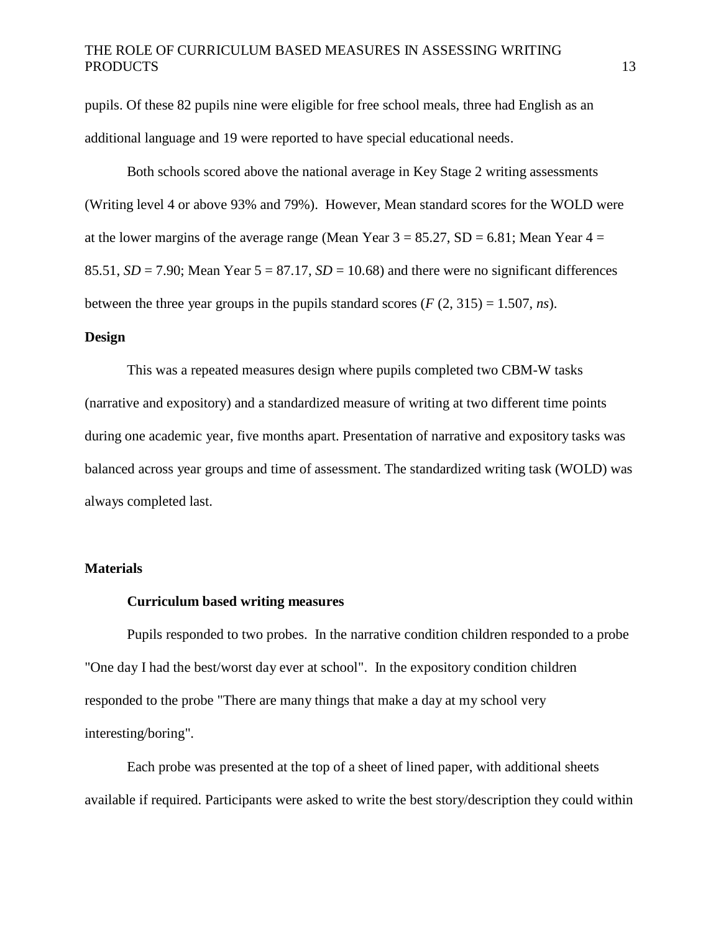pupils. Of these 82 pupils nine were eligible for free school meals, three had English as an additional language and 19 were reported to have special educational needs.

Both schools scored above the national average in Key Stage 2 writing assessments (Writing level 4 or above 93% and 79%). However, Mean standard scores for the WOLD were at the lower margins of the average range (Mean Year  $3 = 85.27$ , SD = 6.81; Mean Year  $4 =$ 85.51,  $SD = 7.90$ ; Mean Year  $5 = 87.17$ ,  $SD = 10.68$ ) and there were no significant differences between the three year groups in the pupils standard scores  $(F(2, 315) = 1.507, ns)$ .

## **Design**

This was a repeated measures design where pupils completed two CBM-W tasks (narrative and expository) and a standardized measure of writing at two different time points during one academic year, five months apart. Presentation of narrative and expository tasks was balanced across year groups and time of assessment. The standardized writing task (WOLD) was always completed last.

#### **Materials**

#### **Curriculum based writing measures**

Pupils responded to two probes. In the narrative condition children responded to a probe "One day I had the best/worst day ever at school". In the expository condition children responded to the probe "There are many things that make a day at my school very interesting/boring".

Each probe was presented at the top of a sheet of lined paper, with additional sheets available if required. Participants were asked to write the best story/description they could within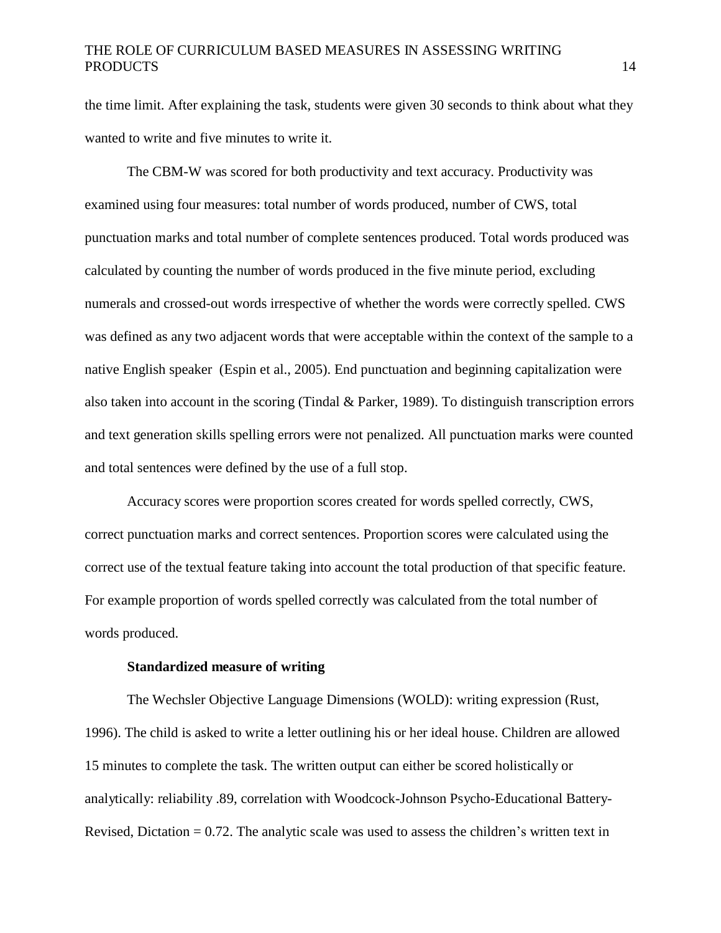the time limit. After explaining the task, students were given 30 seconds to think about what they wanted to write and five minutes to write it.

The CBM-W was scored for both productivity and text accuracy. Productivity was examined using four measures: total number of words produced, number of CWS, total punctuation marks and total number of complete sentences produced. Total words produced was calculated by counting the number of words produced in the five minute period, excluding numerals and crossed-out words irrespective of whether the words were correctly spelled. CWS was defined as any two adjacent words that were acceptable within the context of the sample to a native English speaker (Espin et al., 2005). End punctuation and beginning capitalization were also taken into account in the scoring (Tindal & Parker, 1989). To distinguish transcription errors and text generation skills spelling errors were not penalized. All punctuation marks were counted and total sentences were defined by the use of a full stop.

Accuracy scores were proportion scores created for words spelled correctly, CWS, correct punctuation marks and correct sentences. Proportion scores were calculated using the correct use of the textual feature taking into account the total production of that specific feature. For example proportion of words spelled correctly was calculated from the total number of words produced.

#### **Standardized measure of writing**

The Wechsler Objective Language Dimensions (WOLD): writing expression (Rust, 1996). The child is asked to write a letter outlining his or her ideal house. Children are allowed 15 minutes to complete the task. The written output can either be scored holistically or analytically: reliability .89, correlation with Woodcock-Johnson Psycho-Educational Battery-Revised, Dictation  $= 0.72$ . The analytic scale was used to assess the children's written text in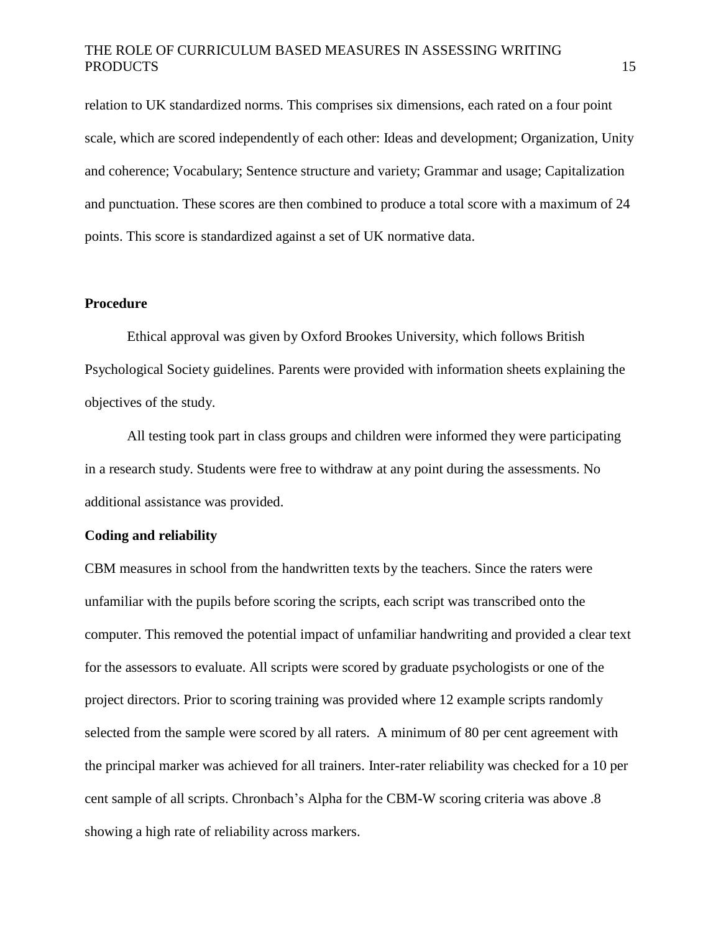relation to UK standardized norms. This comprises six dimensions, each rated on a four point scale, which are scored independently of each other: Ideas and development; Organization, Unity and coherence; Vocabulary; Sentence structure and variety; Grammar and usage; Capitalization and punctuation. These scores are then combined to produce a total score with a maximum of 24 points. This score is standardized against a set of UK normative data.

#### **Procedure**

Ethical approval was given by Oxford Brookes University, which follows British Psychological Society guidelines. Parents were provided with information sheets explaining the objectives of the study.

All testing took part in class groups and children were informed they were participating in a research study. Students were free to withdraw at any point during the assessments. No additional assistance was provided.

#### **Coding and reliability**

CBM measures in school from the handwritten texts by the teachers. Since the raters were unfamiliar with the pupils before scoring the scripts, each script was transcribed onto the computer. This removed the potential impact of unfamiliar handwriting and provided a clear text for the assessors to evaluate. All scripts were scored by graduate psychologists or one of the project directors. Prior to scoring training was provided where 12 example scripts randomly selected from the sample were scored by all raters. A minimum of 80 per cent agreement with the principal marker was achieved for all trainers. Inter-rater reliability was checked for a 10 per cent sample of all scripts. Chronbach's Alpha for the CBM-W scoring criteria was above .8 showing a high rate of reliability across markers.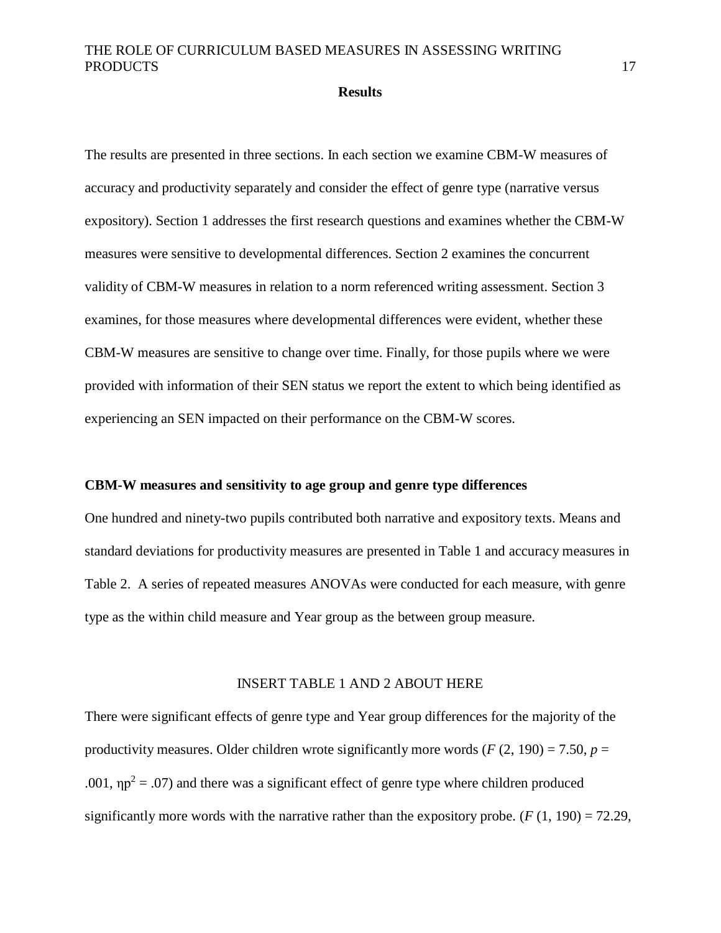#### **Results**

The results are presented in three sections. In each section we examine CBM-W measures of accuracy and productivity separately and consider the effect of genre type (narrative versus expository). Section 1 addresses the first research questions and examines whether the CBM-W measures were sensitive to developmental differences. Section 2 examines the concurrent validity of CBM-W measures in relation to a norm referenced writing assessment. Section 3 examines, for those measures where developmental differences were evident, whether these CBM-W measures are sensitive to change over time. Finally, for those pupils where we were provided with information of their SEN status we report the extent to which being identified as experiencing an SEN impacted on their performance on the CBM-W scores.

#### **CBM-W measures and sensitivity to age group and genre type differences**

One hundred and ninety-two pupils contributed both narrative and expository texts. Means and standard deviations for productivity measures are presented in Table 1 and accuracy measures in Table 2. A series of repeated measures ANOVAs were conducted for each measure, with genre type as the within child measure and Year group as the between group measure.

#### INSERT TABLE 1 AND 2 ABOUT HERE

There were significant effects of genre type and Year group differences for the majority of the productivity measures. Older children wrote significantly more words ( $F(2, 190) = 7.50$ ,  $p =$ .001,  $np^2 = 0.07$ ) and there was a significant effect of genre type where children produced significantly more words with the narrative rather than the expository probe.  $(F(1, 190) = 72.29,$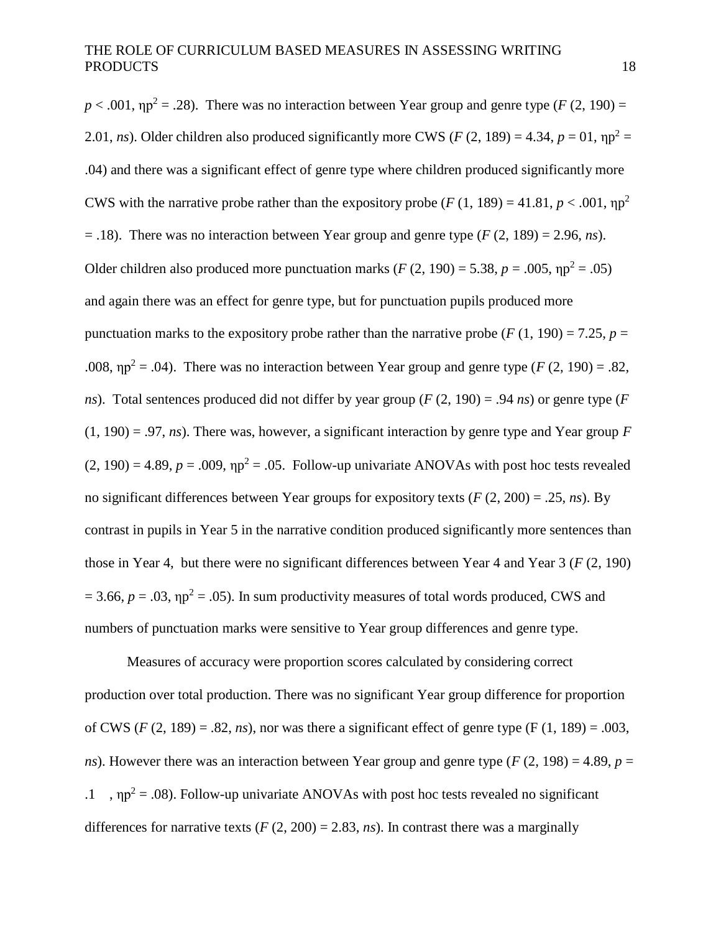$p < .001$ ,  $np^2 = .28$ ). There was no interaction between Year group and genre type (*F* (2, 190) = 2.01, *ns*). Older children also produced significantly more CWS (*F* (2, 189) = 4.34,  $p = 01$ ,  $np^2 =$ .04) and there was a significant effect of genre type where children produced significantly more CWS with the narrative probe rather than the expository probe  $(F (1, 189) = 41.81, p < .001, \eta p^2$  $=$  .18). There was no interaction between Year group and genre type (*F* (2, 189) = 2.96, *ns*). Older children also produced more punctuation marks  $(F (2, 190) = 5.38, p = .005, \eta p^2 = .05)$ and again there was an effect for genre type, but for punctuation pupils produced more punctuation marks to the expository probe rather than the narrative probe ( $F(1, 190) = 7.25$ ,  $p =$ .008,  $np^2 = 0.04$ ). There was no interaction between Year group and genre type (*F* (2, 190) = .82, *ns*). Total sentences produced did not differ by year group (*F* (2, 190) = .94 *ns*) or genre type (*F*   $(1, 190) = .97$ , *ns*). There was, however, a significant interaction by genre type and Year group *F*  $(2, 190) = 4.89$ ,  $p = .009$ ,  $np^2 = .05$ . Follow-up univariate ANOVAs with post hoc tests revealed no significant differences between Year groups for expository texts (*F* (2, 200) = .25, *ns*). By contrast in pupils in Year 5 in the narrative condition produced significantly more sentences than those in Year 4, but there were no significant differences between Year 4 and Year 3 (*F* (2, 190)  $= 3.66$ ,  $p = .03$ ,  $np^2 = .05$ ). In sum productivity measures of total words produced, CWS and numbers of punctuation marks were sensitive to Year group differences and genre type.

Measures of accuracy were proportion scores calculated by considering correct production over total production. There was no significant Year group difference for proportion of CWS  $(F (2, 189) = .82, ns)$ , nor was there a significant effect of genre type  $(F (1, 189) = .003$ , *ns*). However there was an interaction between Year group and genre type (*F* (2, 198) = 4.89, *p* = .1 ,  $np^2 = .08$ ). Follow-up univariate ANOVAs with post hoc tests revealed no significant differences for narrative texts  $(F(2, 200) = 2.83, ns)$ . In contrast there was a marginally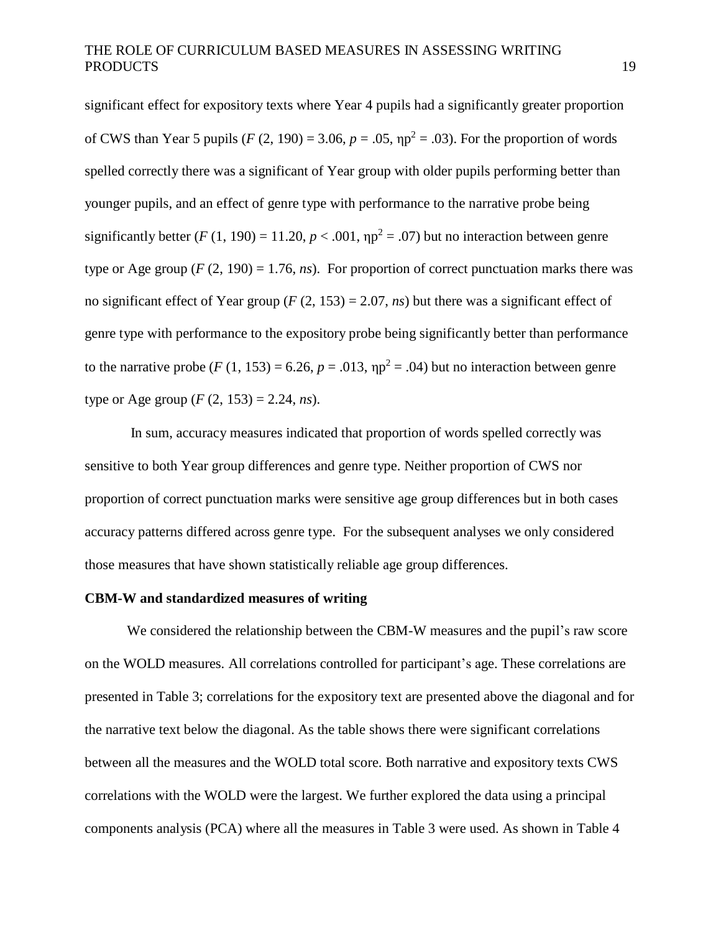significant effect for expository texts where Year 4 pupils had a significantly greater proportion of CWS than Year 5 pupils  $(F(2, 190) = 3.06, p = .05, \eta p^2 = .03)$ . For the proportion of words spelled correctly there was a significant of Year group with older pupils performing better than younger pupils, and an effect of genre type with performance to the narrative probe being significantly better  $(F (1, 190) = 11.20, p < .001, \eta p^2 = .07)$  but no interaction between genre type or Age group ( $F(2, 190) = 1.76$ , *ns*). For proportion of correct punctuation marks there was no significant effect of Year group ( $F(2, 153) = 2.07$ , *ns*) but there was a significant effect of genre type with performance to the expository probe being significantly better than performance to the narrative probe  $(F (1, 153) = 6.26, p = .013, \eta p^2 = .04)$  but no interaction between genre type or Age group  $(F (2, 153) = 2.24, ns)$ .

In sum, accuracy measures indicated that proportion of words spelled correctly was sensitive to both Year group differences and genre type. Neither proportion of CWS nor proportion of correct punctuation marks were sensitive age group differences but in both cases accuracy patterns differed across genre type. For the subsequent analyses we only considered those measures that have shown statistically reliable age group differences.

## **CBM-W and standardized measures of writing**

We considered the relationship between the CBM-W measures and the pupil's raw score on the WOLD measures. All correlations controlled for participant's age. These correlations are presented in Table 3; correlations for the expository text are presented above the diagonal and for the narrative text below the diagonal. As the table shows there were significant correlations between all the measures and the WOLD total score. Both narrative and expository texts CWS correlations with the WOLD were the largest. We further explored the data using a principal components analysis (PCA) where all the measures in Table 3 were used. As shown in Table 4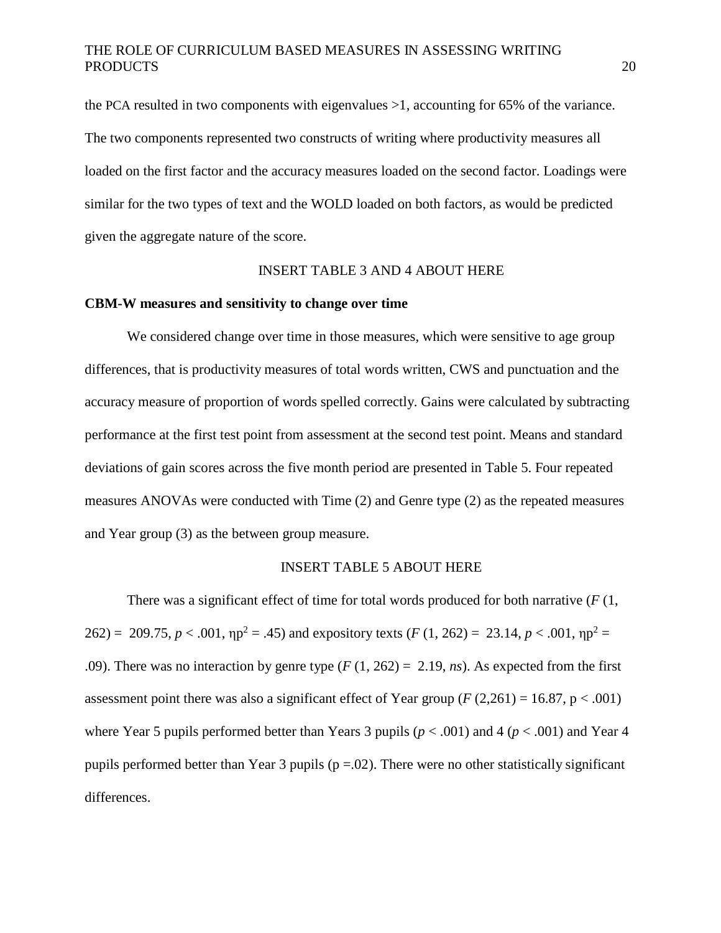the PCA resulted in two components with eigenvalues  $>1$ , accounting for 65% of the variance. The two components represented two constructs of writing where productivity measures all loaded on the first factor and the accuracy measures loaded on the second factor. Loadings were similar for the two types of text and the WOLD loaded on both factors, as would be predicted given the aggregate nature of the score.

#### INSERT TABLE 3 AND 4 ABOUT HERE

## **CBM-W measures and sensitivity to change over time**

We considered change over time in those measures, which were sensitive to age group differences, that is productivity measures of total words written, CWS and punctuation and the accuracy measure of proportion of words spelled correctly. Gains were calculated by subtracting performance at the first test point from assessment at the second test point. Means and standard deviations of gain scores across the five month period are presented in Table 5. Four repeated measures ANOVAs were conducted with Time (2) and Genre type (2) as the repeated measures and Year group (3) as the between group measure.

#### INSERT TABLE 5 ABOUT HERE

There was a significant effect of time for total words produced for both narrative (*F* (1, 262) = 209.75,  $p < .001$ ,  $np^2 = .45$ ) and expository texts ( $F(1, 262) = 23.14$ ,  $p < .001$ ,  $np^2 =$ .09). There was no interaction by genre type (*F* (1, 262) = 2.19, *ns*). As expected from the first assessment point there was also a significant effect of Year group ( $F(2,261) = 16.87$ ,  $p < .001$ ) where Year 5 pupils performed better than Years 3 pupils ( $p < .001$ ) and 4 ( $p < .001$ ) and Year 4 pupils performed better than Year 3 pupils ( $p = .02$ ). There were no other statistically significant differences.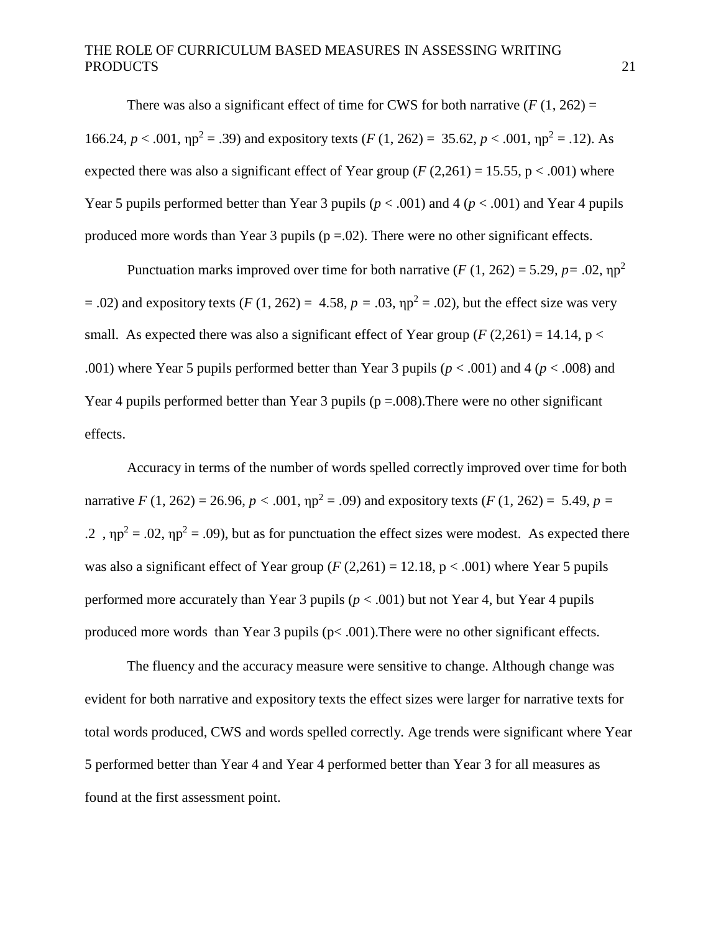There was also a significant effect of time for CWS for both narrative  $(F (1, 262) =$ 166.24,  $p < .001$ ,  $np^2 = .39$ ) and expository texts ( $F(1, 262) = 35.62$ ,  $p < .001$ ,  $np^2 = .12$ ). As expected there was also a significant effect of Year group  $(F(2,261) = 15.55, p < .001)$  where Year 5 pupils performed better than Year 3 pupils (*p* < .001) and 4 (*p* < .001) and Year 4 pupils produced more words than Year 3 pupils ( $p = .02$ ). There were no other significant effects.

Punctuation marks improved over time for both narrative ( $F(1, 262) = 5.29$ ,  $p = .02$ ,  $np^2$  $= .02$ ) and expository texts (*F* (1, 262) = 4.58,  $p = .03$ ,  $np^2 = .02$ ), but the effect size was very small. As expected there was also a significant effect of Year group ( $F(2,261) = 14.14$ ,  $p <$ .001) where Year 5 pupils performed better than Year 3 pupils ( $p < .001$ ) and 4 ( $p < .008$ ) and Year 4 pupils performed better than Year 3 pupils ( $p = .008$ ). There were no other significant effects.

Accuracy in terms of the number of words spelled correctly improved over time for both narrative *F* (1, 262) = 26.96, *p* < .001,  $np^2$  = .09) and expository texts (*F* (1, 262) = 5.49, *p* = .2,  $np^2 = 0.02$ ,  $np^2 = 0.09$ , but as for punctuation the effect sizes were modest. As expected there was also a significant effect of Year group ( $F(2,261) = 12.18$ ,  $p < .001$ ) where Year 5 pupils performed more accurately than Year 3 pupils ( $p < .001$ ) but not Year 4, but Year 4 pupils produced more words than Year 3 pupils (p< .001).There were no other significant effects.

The fluency and the accuracy measure were sensitive to change. Although change was evident for both narrative and expository texts the effect sizes were larger for narrative texts for total words produced, CWS and words spelled correctly. Age trends were significant where Year 5 performed better than Year 4 and Year 4 performed better than Year 3 for all measures as found at the first assessment point.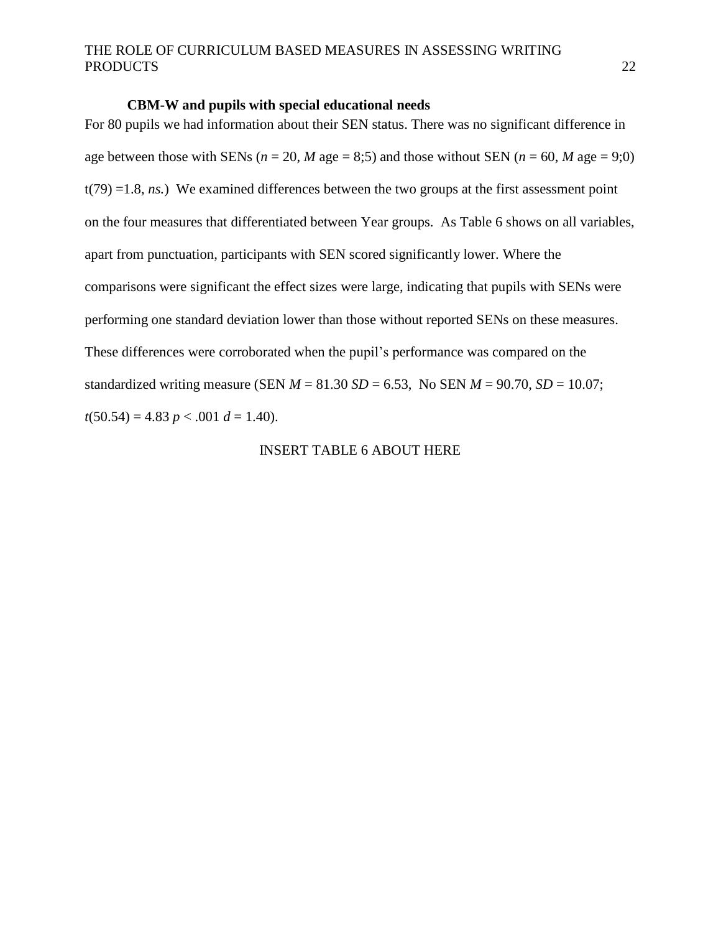#### **CBM-W and pupils with special educational needs**

For 80 pupils we had information about their SEN status. There was no significant difference in age between those with SENs ( $n = 20$ , *M* age = 8;5) and those without SEN ( $n = 60$ , *M* age = 9;0) t(79) =1.8, *ns.*) We examined differences between the two groups at the first assessment point on the four measures that differentiated between Year groups. As Table 6 shows on all variables, apart from punctuation, participants with SEN scored significantly lower. Where the comparisons were significant the effect sizes were large, indicating that pupils with SENs were performing one standard deviation lower than those without reported SENs on these measures. These differences were corroborated when the pupil's performance was compared on the standardized writing measure (SEN  $M = 81.30$  *SD* = 6.53, No SEN  $M = 90.70$ , *SD* = 10.07;  $t(50.54) = 4.83 \ p < .001 \ d = 1.40$ .

## INSERT TABLE 6 ABOUT HERE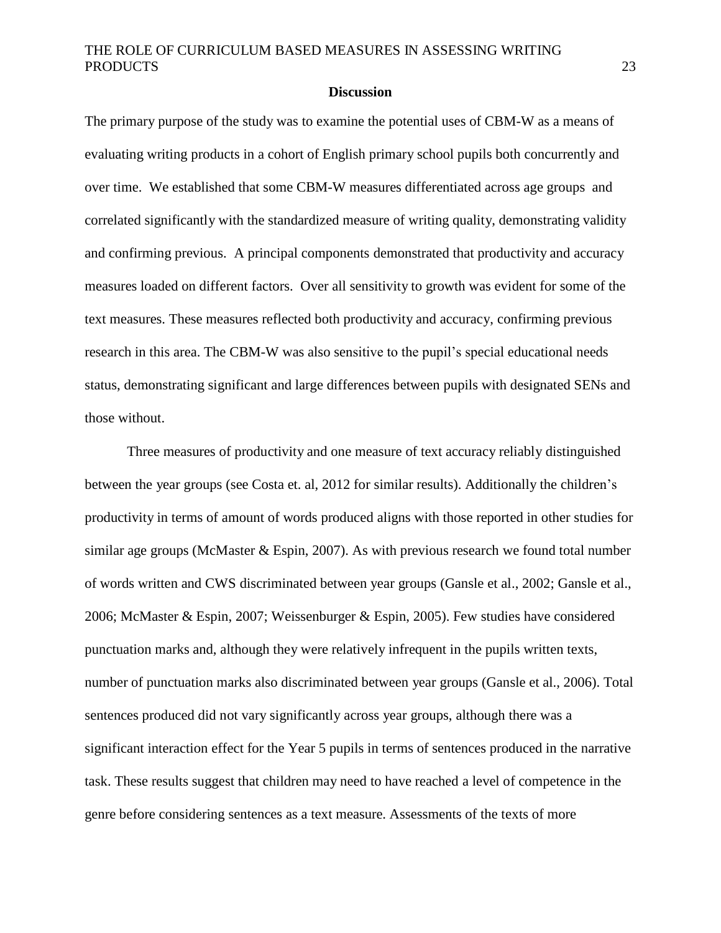#### **Discussion**

The primary purpose of the study was to examine the potential uses of CBM-W as a means of evaluating writing products in a cohort of English primary school pupils both concurrently and over time. We established that some CBM-W measures differentiated across age groups and correlated significantly with the standardized measure of writing quality, demonstrating validity and confirming previous. A principal components demonstrated that productivity and accuracy measures loaded on different factors. Over all sensitivity to growth was evident for some of the text measures. These measures reflected both productivity and accuracy, confirming previous research in this area. The CBM-W was also sensitive to the pupil's special educational needs status, demonstrating significant and large differences between pupils with designated SENs and those without.

Three measures of productivity and one measure of text accuracy reliably distinguished between the year groups (see Costa et. al, 2012 for similar results). Additionally the children's productivity in terms of amount of words produced aligns with those reported in other studies for similar age groups (McMaster & Espin, 2007). As with previous research we found total number of words written and CWS discriminated between year groups (Gansle et al., 2002; Gansle et al., 2006; McMaster & Espin, 2007; Weissenburger & Espin, 2005). Few studies have considered punctuation marks and, although they were relatively infrequent in the pupils written texts, number of punctuation marks also discriminated between year groups (Gansle et al., 2006). Total sentences produced did not vary significantly across year groups, although there was a significant interaction effect for the Year 5 pupils in terms of sentences produced in the narrative task. These results suggest that children may need to have reached a level of competence in the genre before considering sentences as a text measure. Assessments of the texts of more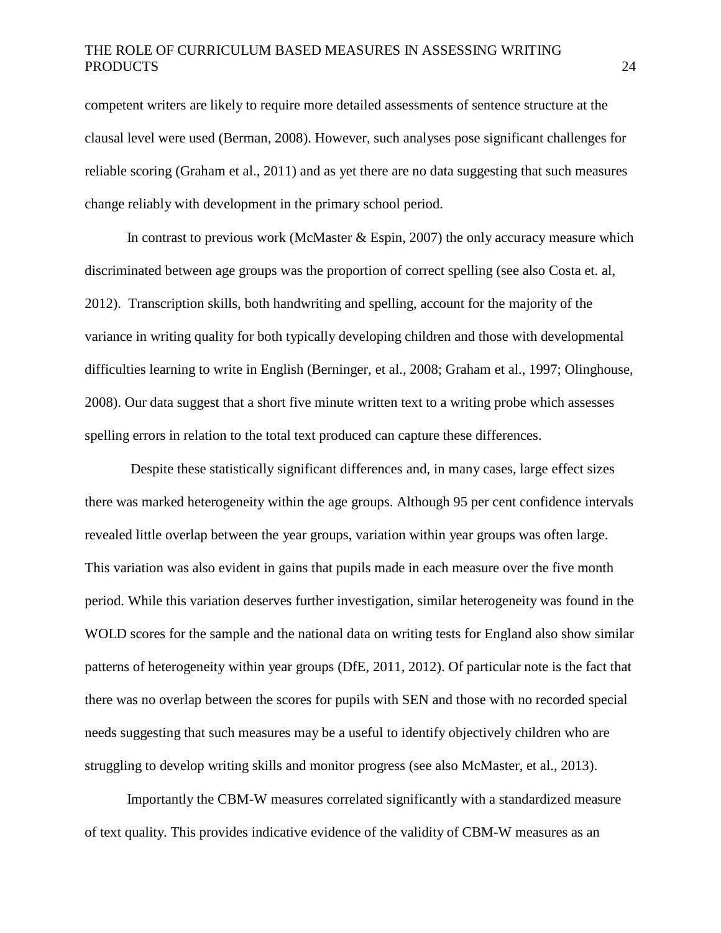competent writers are likely to require more detailed assessments of sentence structure at the clausal level were used (Berman, 2008). However, such analyses pose significant challenges for reliable scoring (Graham et al., 2011) and as yet there are no data suggesting that such measures change reliably with development in the primary school period.

In contrast to previous work (McMaster  $& Espin, 2007$ ) the only accuracy measure which discriminated between age groups was the proportion of correct spelling (see also Costa et. al, 2012). Transcription skills, both handwriting and spelling, account for the majority of the variance in writing quality for both typically developing children and those with developmental difficulties learning to write in English (Berninger, et al., 2008; Graham et al., 1997; Olinghouse, 2008). Our data suggest that a short five minute written text to a writing probe which assesses spelling errors in relation to the total text produced can capture these differences.

Despite these statistically significant differences and, in many cases, large effect sizes there was marked heterogeneity within the age groups. Although 95 per cent confidence intervals revealed little overlap between the year groups, variation within year groups was often large. This variation was also evident in gains that pupils made in each measure over the five month period. While this variation deserves further investigation, similar heterogeneity was found in the WOLD scores for the sample and the national data on writing tests for England also show similar patterns of heterogeneity within year groups (DfE, 2011, 2012). Of particular note is the fact that there was no overlap between the scores for pupils with SEN and those with no recorded special needs suggesting that such measures may be a useful to identify objectively children who are struggling to develop writing skills and monitor progress (see also McMaster, et al., 2013).

Importantly the CBM-W measures correlated significantly with a standardized measure of text quality. This provides indicative evidence of the validity of CBM-W measures as an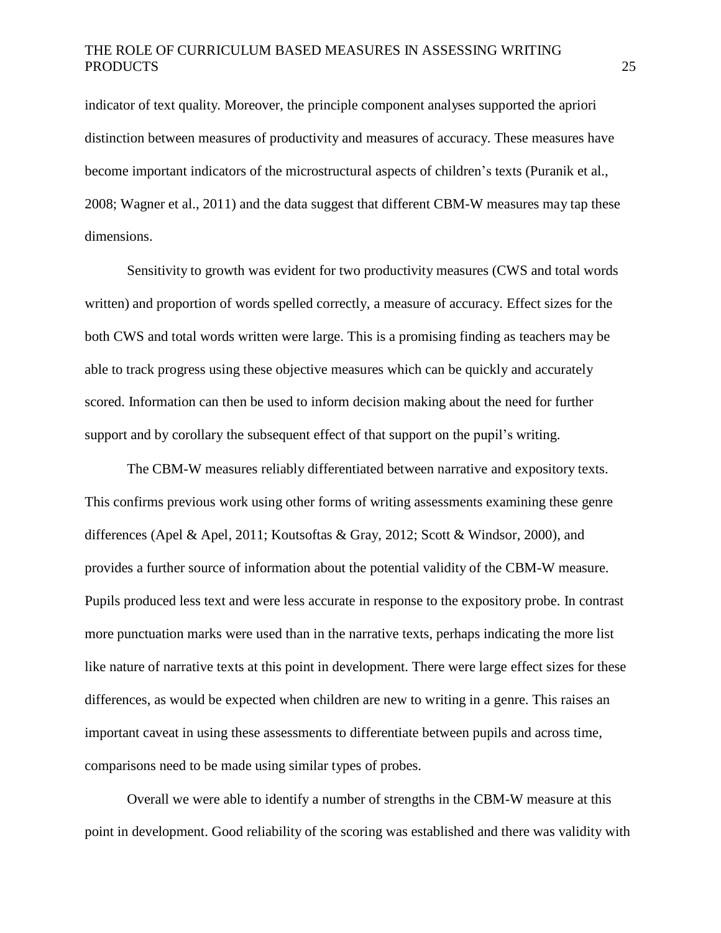indicator of text quality. Moreover, the principle component analyses supported the apriori distinction between measures of productivity and measures of accuracy. These measures have become important indicators of the microstructural aspects of children's texts (Puranik et al., 2008; Wagner et al., 2011) and the data suggest that different CBM-W measures may tap these dimensions.

Sensitivity to growth was evident for two productivity measures (CWS and total words written) and proportion of words spelled correctly, a measure of accuracy. Effect sizes for the both CWS and total words written were large. This is a promising finding as teachers may be able to track progress using these objective measures which can be quickly and accurately scored. Information can then be used to inform decision making about the need for further support and by corollary the subsequent effect of that support on the pupil's writing.

The CBM-W measures reliably differentiated between narrative and expository texts. This confirms previous work using other forms of writing assessments examining these genre differences (Apel & Apel, 2011; Koutsoftas & Gray, 2012; Scott & Windsor, 2000), and provides a further source of information about the potential validity of the CBM-W measure. Pupils produced less text and were less accurate in response to the expository probe. In contrast more punctuation marks were used than in the narrative texts, perhaps indicating the more list like nature of narrative texts at this point in development. There were large effect sizes for these differences, as would be expected when children are new to writing in a genre. This raises an important caveat in using these assessments to differentiate between pupils and across time, comparisons need to be made using similar types of probes.

Overall we were able to identify a number of strengths in the CBM-W measure at this point in development. Good reliability of the scoring was established and there was validity with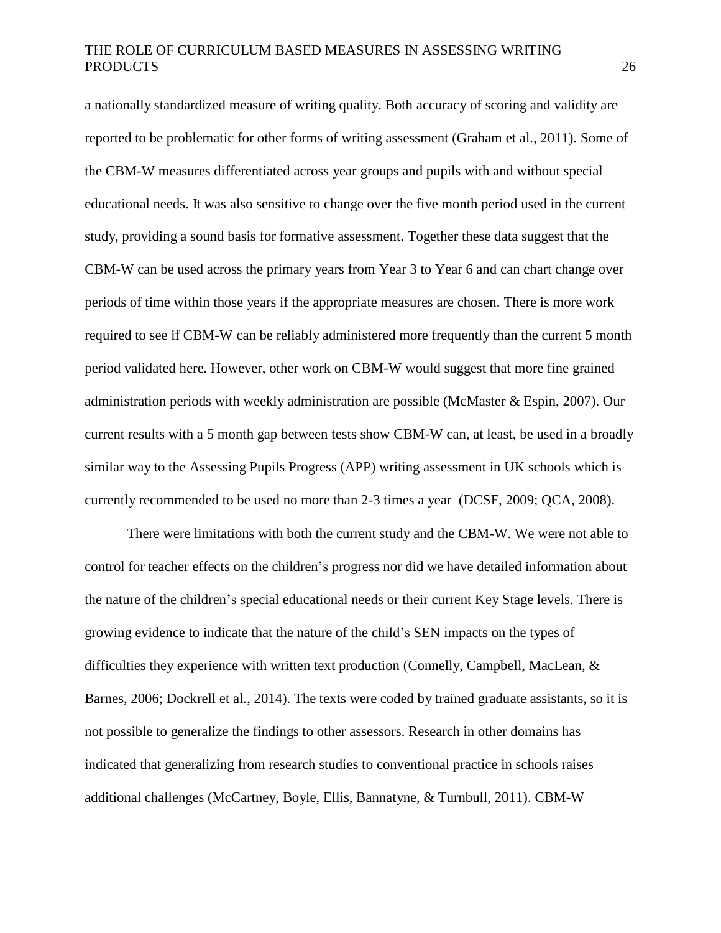a nationally standardized measure of writing quality. Both accuracy of scoring and validity are reported to be problematic for other forms of writing assessment (Graham et al., 2011). Some of the CBM-W measures differentiated across year groups and pupils with and without special educational needs. It was also sensitive to change over the five month period used in the current study, providing a sound basis for formative assessment. Together these data suggest that the CBM-W can be used across the primary years from Year 3 to Year 6 and can chart change over periods of time within those years if the appropriate measures are chosen. There is more work required to see if CBM-W can be reliably administered more frequently than the current 5 month period validated here. However, other work on CBM-W would suggest that more fine grained administration periods with weekly administration are possible (McMaster & Espin, 2007). Our current results with a 5 month gap between tests show CBM-W can, at least, be used in a broadly similar way to the Assessing Pupils Progress (APP) writing assessment in UK schools which is currently recommended to be used no more than 2-3 times a year (DCSF, 2009; QCA, 2008).

There were limitations with both the current study and the CBM-W. We were not able to control for teacher effects on the children's progress nor did we have detailed information about the nature of the children's special educational needs or their current Key Stage levels. There is growing evidence to indicate that the nature of the child's SEN impacts on the types of difficulties they experience with written text production (Connelly, Campbell, MacLean, & Barnes, 2006; Dockrell et al., 2014). The texts were coded by trained graduate assistants, so it is not possible to generalize the findings to other assessors. Research in other domains has indicated that generalizing from research studies to conventional practice in schools raises additional challenges (McCartney, Boyle, Ellis, Bannatyne, & Turnbull, 2011). CBM-W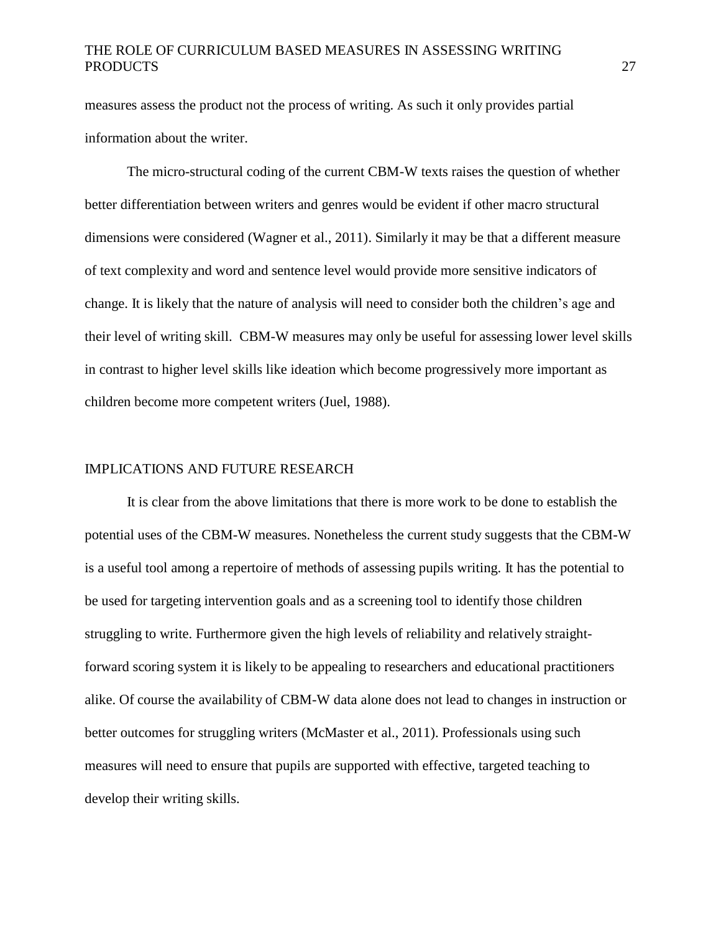measures assess the product not the process of writing. As such it only provides partial information about the writer.

The micro-structural coding of the current CBM-W texts raises the question of whether better differentiation between writers and genres would be evident if other macro structural dimensions were considered (Wagner et al., 2011). Similarly it may be that a different measure of text complexity and word and sentence level would provide more sensitive indicators of change. It is likely that the nature of analysis will need to consider both the children's age and their level of writing skill. CBM-W measures may only be useful for assessing lower level skills in contrast to higher level skills like ideation which become progressively more important as children become more competent writers (Juel, 1988).

## IMPLICATIONS AND FUTURE RESEARCH

It is clear from the above limitations that there is more work to be done to establish the potential uses of the CBM-W measures. Nonetheless the current study suggests that the CBM-W is a useful tool among a repertoire of methods of assessing pupils writing. It has the potential to be used for targeting intervention goals and as a screening tool to identify those children struggling to write. Furthermore given the high levels of reliability and relatively straightforward scoring system it is likely to be appealing to researchers and educational practitioners alike. Of course the availability of CBM-W data alone does not lead to changes in instruction or better outcomes for struggling writers (McMaster et al., 2011). Professionals using such measures will need to ensure that pupils are supported with effective, targeted teaching to develop their writing skills.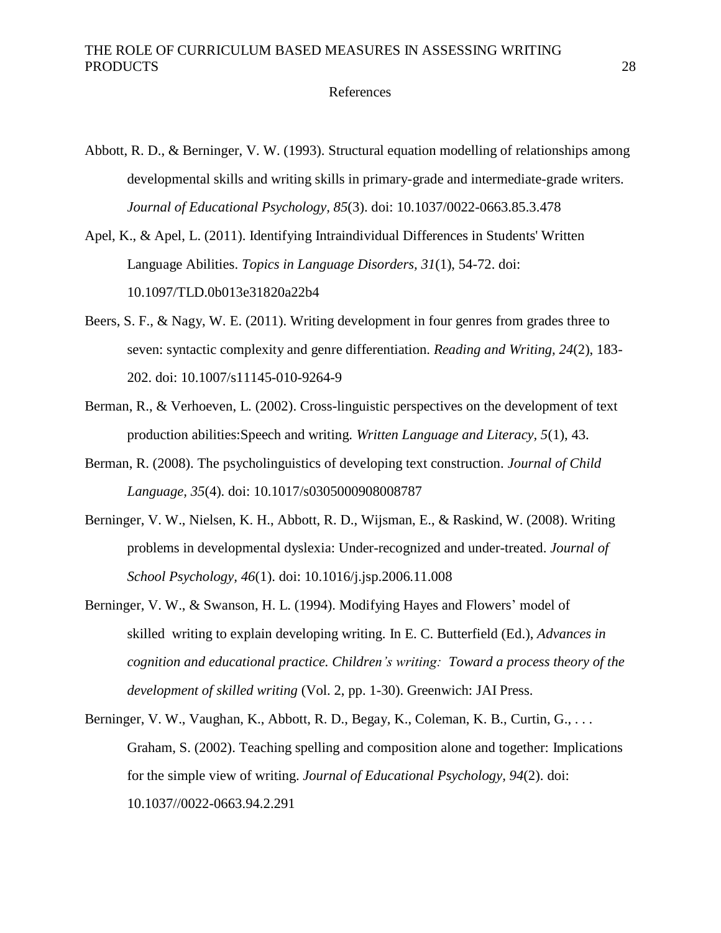#### References

- Abbott, R. D., & Berninger, V. W. (1993). Structural equation modelling of relationships among developmental skills and writing skills in primary-grade and intermediate-grade writers. *Journal of Educational Psychology, 85*(3). doi: 10.1037/0022-0663.85.3.478
- Apel, K., & Apel, L. (2011). Identifying Intraindividual Differences in Students' Written Language Abilities. *Topics in Language Disorders, 31*(1), 54-72. doi: 10.1097/TLD.0b013e31820a22b4
- Beers, S. F., & Nagy, W. E. (2011). Writing development in four genres from grades three to seven: syntactic complexity and genre differentiation. *Reading and Writing, 24*(2), 183- 202. doi: 10.1007/s11145-010-9264-9
- Berman, R., & Verhoeven, L. (2002). Cross-linguistic perspectives on the development of text production abilities:Speech and writing. *Written Language and Literacy, 5*(1), 43.
- Berman, R. (2008). The psycholinguistics of developing text construction. *Journal of Child Language, 35*(4). doi: 10.1017/s0305000908008787
- Berninger, V. W., Nielsen, K. H., Abbott, R. D., Wijsman, E., & Raskind, W. (2008). Writing problems in developmental dyslexia: Under-recognized and under-treated. *Journal of School Psychology, 46*(1). doi: 10.1016/j.jsp.2006.11.008
- Berninger, V. W., & Swanson, H. L. (1994). Modifying Hayes and Flowers' model of skilled writing to explain developing writing. In E. C. Butterfield (Ed.), *Advances in cognition and educational practice. Children's writing: Toward a process theory of the development of skilled writing* (Vol. 2, pp. 1-30). Greenwich: JAI Press.
- Berninger, V. W., Vaughan, K., Abbott, R. D., Begay, K., Coleman, K. B., Curtin, G., ... Graham, S. (2002). Teaching spelling and composition alone and together: Implications for the simple view of writing. *Journal of Educational Psychology, 94*(2). doi: 10.1037//0022-0663.94.2.291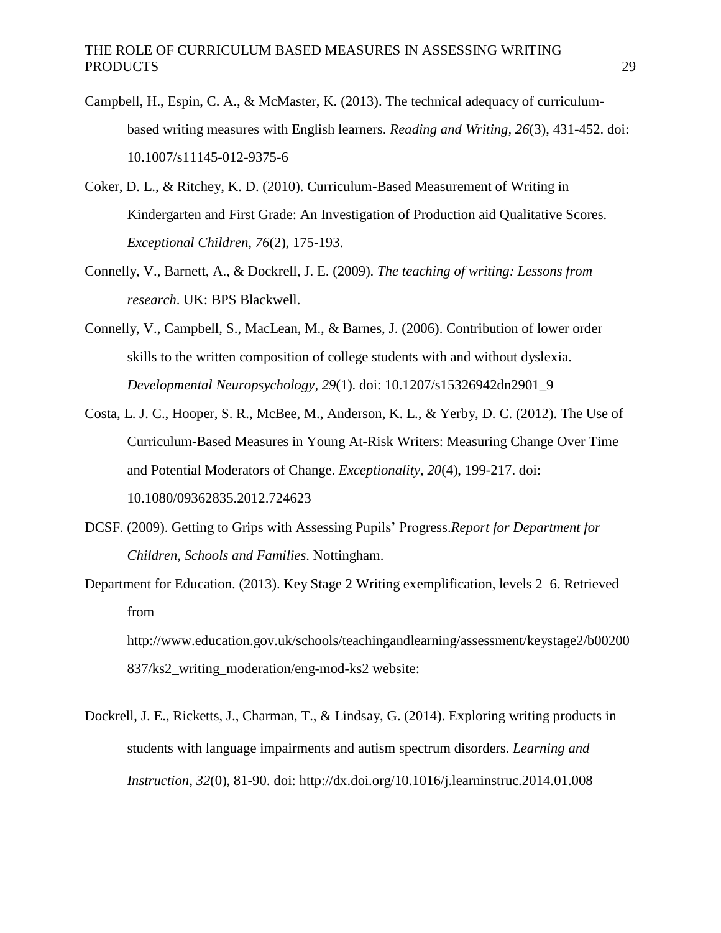- Campbell, H., Espin, C. A., & McMaster, K. (2013). The technical adequacy of curriculumbased writing measures with English learners. *Reading and Writing, 26*(3), 431-452. doi: 10.1007/s11145-012-9375-6
- Coker, D. L., & Ritchey, K. D. (2010). Curriculum-Based Measurement of Writing in Kindergarten and First Grade: An Investigation of Production aid Qualitative Scores. *Exceptional Children, 76*(2), 175-193.
- Connelly, V., Barnett, A., & Dockrell, J. E. (2009). *The teaching of writing: Lessons from research*. UK: BPS Blackwell.
- Connelly, V., Campbell, S., MacLean, M., & Barnes, J. (2006). Contribution of lower order skills to the written composition of college students with and without dyslexia. *Developmental Neuropsychology, 29*(1). doi: 10.1207/s15326942dn2901\_9
- Costa, L. J. C., Hooper, S. R., McBee, M., Anderson, K. L., & Yerby, D. C. (2012). The Use of Curriculum-Based Measures in Young At-Risk Writers: Measuring Change Over Time and Potential Moderators of Change. *Exceptionality, 20*(4), 199-217. doi: 10.1080/09362835.2012.724623
- DCSF. (2009). Getting to Grips with Assessing Pupils' Progress.*Report for Department for Children, Schools and Families*. Nottingham.
- Department for Education. (2013). Key Stage 2 Writing exemplification, levels 2–6. Retrieved fro[m](http://www.education.gov.uk/schools/teachingandlearning/assessment/keystage2/b00200)

<http://www.education.gov.uk/schools/teachingandlearning/assessment/keystage2/b00200> 837/ks2 writing moderation/eng-mod-ks2 website:

Dockrell, J. E., Ricketts, J., Charman, T., & Lindsay, G. (2014). Exploring writing products in students with language impairments and autism spectrum disorders. *Learning and Instruction, 32*(0), 81-90. [doi: http://dx.doi.org/10.1016/j.learninstruc.2014.01.008](http://dx.doi.org/10.1016/j.learninstruc.2014.01.008)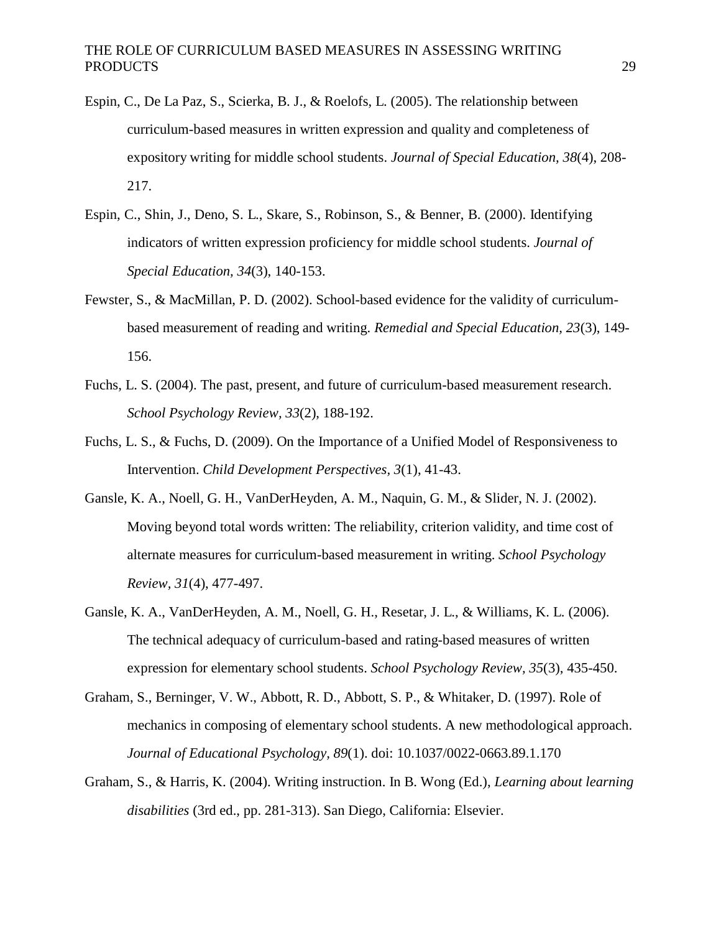- Espin, C., De La Paz, S., Scierka, B. J., & Roelofs, L. (2005). The relationship between curriculum-based measures in written expression and quality and completeness of expository writing for middle school students. *Journal of Special Education, 38*(4), 208- 217.
- Espin, C., Shin, J., Deno, S. L., Skare, S., Robinson, S., & Benner, B. (2000). Identifying indicators of written expression proficiency for middle school students. *Journal of Special Education, 34*(3), 140-153.
- Fewster, S., & MacMillan, P. D. (2002). School-based evidence for the validity of curriculumbased measurement of reading and writing. *Remedial and Special Education, 23*(3), 149- 156.
- Fuchs, L. S. (2004). The past, present, and future of curriculum-based measurement research. *School Psychology Review, 33*(2), 188-192.
- Fuchs, L. S., & Fuchs, D. (2009). On the Importance of a Unified Model of Responsiveness to Intervention. *Child Development Perspectives, 3*(1), 41-43.
- Gansle, K. A., Noell, G. H., VanDerHeyden, A. M., Naquin, G. M., & Slider, N. J. (2002). Moving beyond total words written: The reliability, criterion validity, and time cost of alternate measures for curriculum-based measurement in writing. *School Psychology Review, 31*(4), 477-497.
- Gansle, K. A., VanDerHeyden, A. M., Noell, G. H., Resetar, J. L., & Williams, K. L. (2006). The technical adequacy of curriculum-based and rating-based measures of written expression for elementary school students. *School Psychology Review, 35*(3), 435-450.
- Graham, S., Berninger, V. W., Abbott, R. D., Abbott, S. P., & Whitaker, D. (1997). Role of mechanics in composing of elementary school students. A new methodological approach. *Journal of Educational Psychology, 89*(1). doi: 10.1037/0022-0663.89.1.170
- Graham, S., & Harris, K. (2004). Writing instruction. In B. Wong (Ed.), *Learning about learning disabilities* (3rd ed., pp. 281-313). San Diego, California: Elsevier.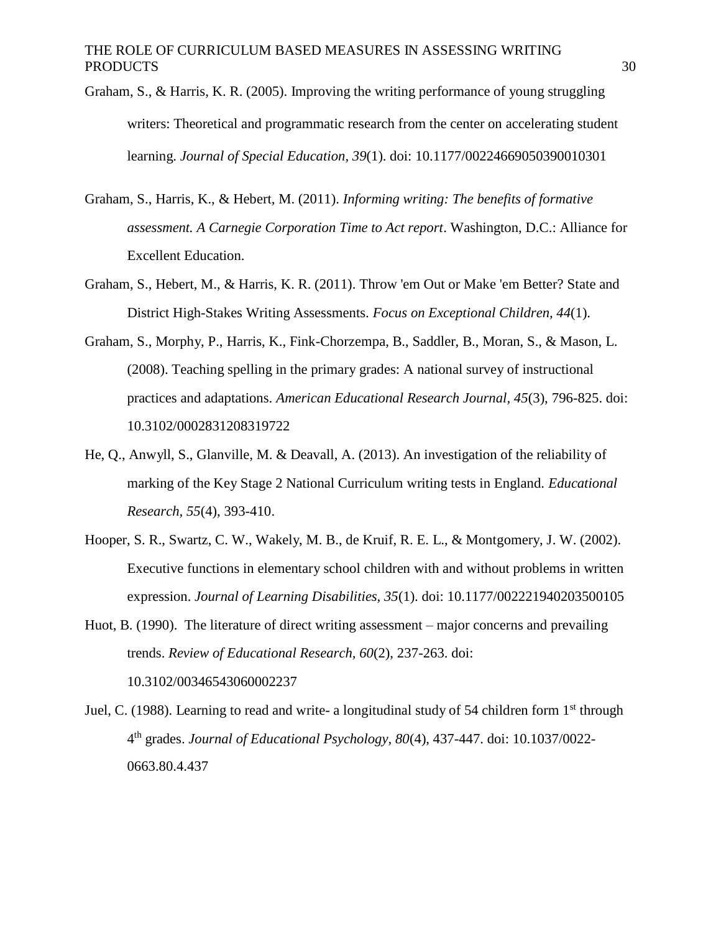- Graham, S., & Harris, K. R. (2005). Improving the writing performance of young struggling writers: Theoretical and programmatic research from the center on accelerating student learning. *Journal of Special Education, 39*(1). doi: 10.1177/00224669050390010301
- Graham, S., Harris, K., & Hebert, M. (2011). *Informing writing: The benefits of formative assessment. A Carnegie Corporation Time to Act report*. Washington, D.C.: Alliance for Excellent Education.
- Graham, S., Hebert, M., & Harris, K. R. (2011). Throw 'em Out or Make 'em Better? State and District High-Stakes Writing Assessments. *Focus on Exceptional Children, 44*(1).
- Graham, S., Morphy, P., Harris, K., Fink-Chorzempa, B., Saddler, B., Moran, S., & Mason, L. (2008). Teaching spelling in the primary grades: A national survey of instructional practices and adaptations. *American Educational Research Journal, 45*(3), 796-825. doi: 10.3102/0002831208319722
- He, Q., Anwyll, S., Glanville, M. & Deavall, A. (2013). An investigation of the reliability of marking of the Key Stage 2 National Curriculum writing tests in England. *Educational Research, 55*(4), 393-410.
- Hooper, S. R., Swartz, C. W., Wakely, M. B., de Kruif, R. E. L., & Montgomery, J. W. (2002). Executive functions in elementary school children with and without problems in written expression. *Journal of Learning Disabilities, 35*(1). doi: 10.1177/002221940203500105
- Huot, B. (1990). The literature of direct writing assessment major concerns and prevailing trends. *Review of Educational Research, 60*(2), 237-263. doi: 10.3102/00346543060002237
- Juel, C. (1988). Learning to read and write- a longitudinal study of 54 children form 1<sup>st</sup> through 4 th grades. *Journal of Educational Psychology, 80*(4), 437-447. doi: 10.1037/0022- 0663.80.4.437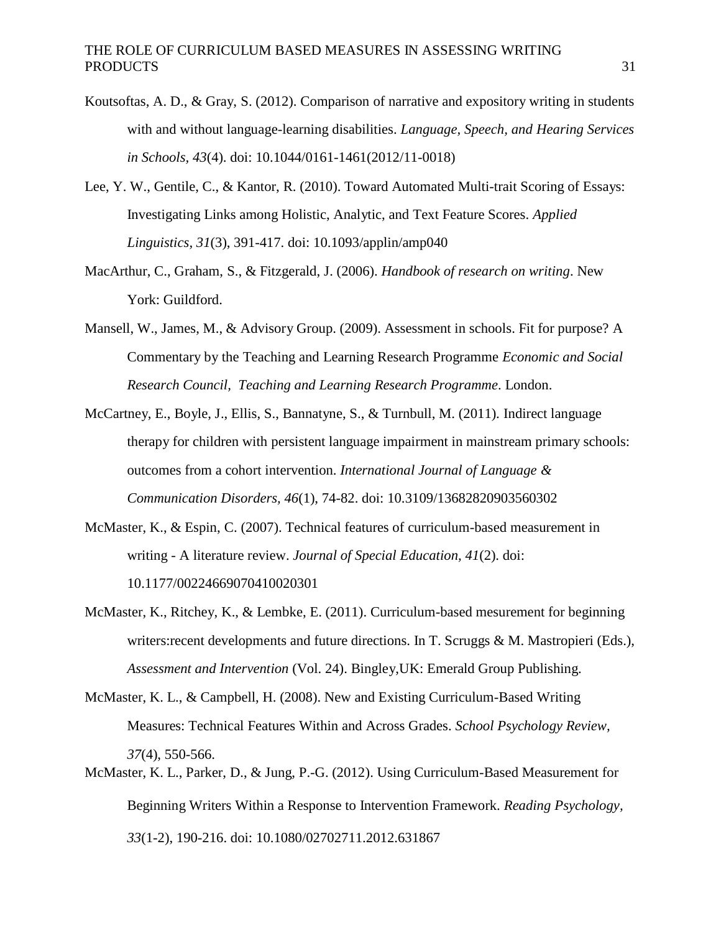- Koutsoftas, A. D., & Gray, S. (2012). Comparison of narrative and expository writing in students with and without language-learning disabilities. *Language, Speech, and Hearing Services in Schools, 43*(4). doi: 10.1044/0161-1461(2012/11-0018)
- Lee, Y. W., Gentile, C., & Kantor, R. (2010). Toward Automated Multi-trait Scoring of Essays: Investigating Links among Holistic, Analytic, and Text Feature Scores. *Applied Linguistics, 31*(3), 391-417. doi: 10.1093/applin/amp040
- MacArthur, C., Graham, S., & Fitzgerald, J. (2006). *Handbook of research on writing*. New York: Guildford.
- Mansell, W., James, M., & Advisory Group. (2009). Assessment in schools. Fit for purpose? A Commentary by the Teaching and Learning Research Programme *Economic and Social Research Council, Teaching and Learning Research Programme*. London.
- McCartney, E., Boyle, J., Ellis, S., Bannatyne, S., & Turnbull, M. (2011). Indirect language therapy for children with persistent language impairment in mainstream primary schools: outcomes from a cohort intervention. *International Journal of Language & Communication Disorders, 46*(1), 74-82. doi: 10.3109/13682820903560302
- McMaster, K., & Espin, C. (2007). Technical features of curriculum-based measurement in writing - A literature review. *Journal of Special Education, 41*(2). doi: 10.1177/00224669070410020301
- McMaster, K., Ritchey, K., & Lembke, E. (2011). Curriculum-based mesurement for beginning writers: recent developments and future directions. In T. Scruggs & M. Mastropieri (Eds.), *Assessment and Intervention* (Vol. 24). Bingley,UK: Emerald Group Publishing.
- McMaster, K. L., & Campbell, H. (2008). New and Existing Curriculum-Based Writing Measures: Technical Features Within and Across Grades. *School Psychology Review, 37*(4), 550-566.
- McMaster, K. L., Parker, D., & Jung, P.-G. (2012). Using Curriculum-Based Measurement for Beginning Writers Within a Response to Intervention Framework. *Reading Psychology, 33*(1-2), 190-216. doi: 10.1080/02702711.2012.631867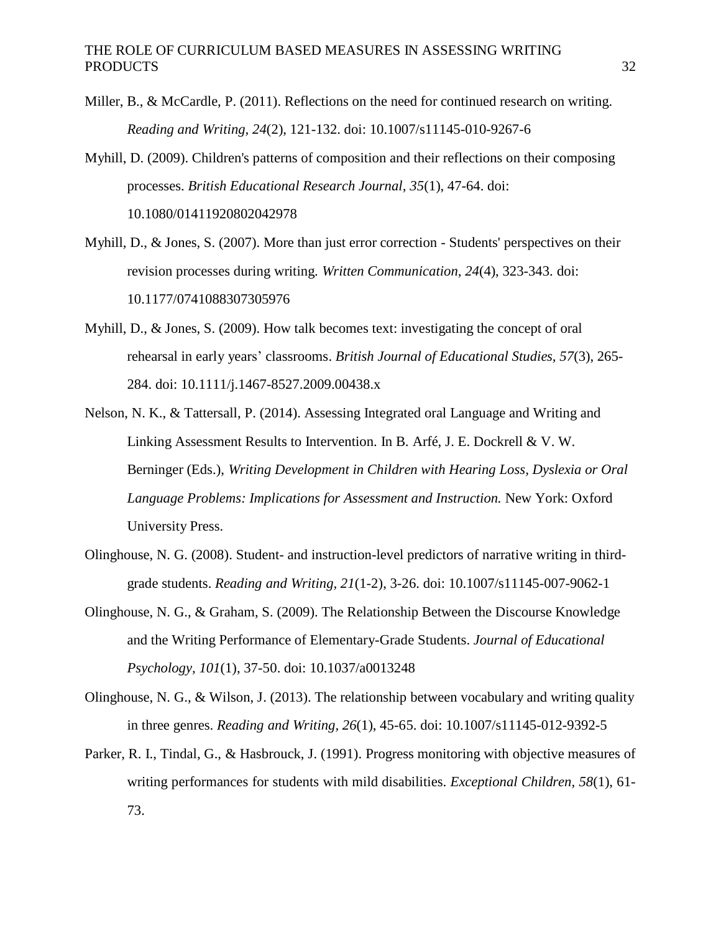- Miller, B., & McCardle, P. (2011). Reflections on the need for continued research on writing. *Reading and Writing, 24*(2), 121-132. doi: 10.1007/s11145-010-9267-6
- Myhill, D. (2009). Children's patterns of composition and their reflections on their composing processes. *British Educational Research Journal, 35*(1), 47-64. doi: 10.1080/01411920802042978
- Myhill, D., & Jones, S. (2007). More than just error correction Students' perspectives on their revision processes during writing. *Written Communication, 24*(4), 323-343. doi: 10.1177/0741088307305976
- Myhill, D., & Jones, S. (2009). How talk becomes text: investigating the concept of oral rehearsal in early years' classrooms. *British Journal of Educational Studies, 57*(3), 265- 284. doi: 10.1111/j.1467-8527.2009.00438.x
- Nelson, N. K., & Tattersall, P. (2014). Assessing Integrated oral Language and Writing and Linking Assessment Results to Intervention. In B. Arfé, J. E. Dockrell & V. W. Berninger (Eds.), *Writing Development in Children with Hearing Loss, Dyslexia or Oral Language Problems: Implications for Assessment and Instruction.* New York: Oxford University Press.
- Olinghouse, N. G. (2008). Student- and instruction-level predictors of narrative writing in thirdgrade students. *Reading and Writing, 21*(1-2), 3-26. doi: 10.1007/s11145-007-9062-1
- Olinghouse, N. G., & Graham, S. (2009). The Relationship Between the Discourse Knowledge and the Writing Performance of Elementary-Grade Students. *Journal of Educational Psychology, 101*(1), 37-50. doi: 10.1037/a0013248
- Olinghouse, N. G., & Wilson, J. (2013). The relationship between vocabulary and writing quality in three genres. *Reading and Writing, 26*(1), 45-65. doi: 10.1007/s11145-012-9392-5
- Parker, R. I., Tindal, G., & Hasbrouck, J. (1991). Progress monitoring with objective measures of writing performances for students with mild disabilities. *Exceptional Children, 58*(1), 61- 73.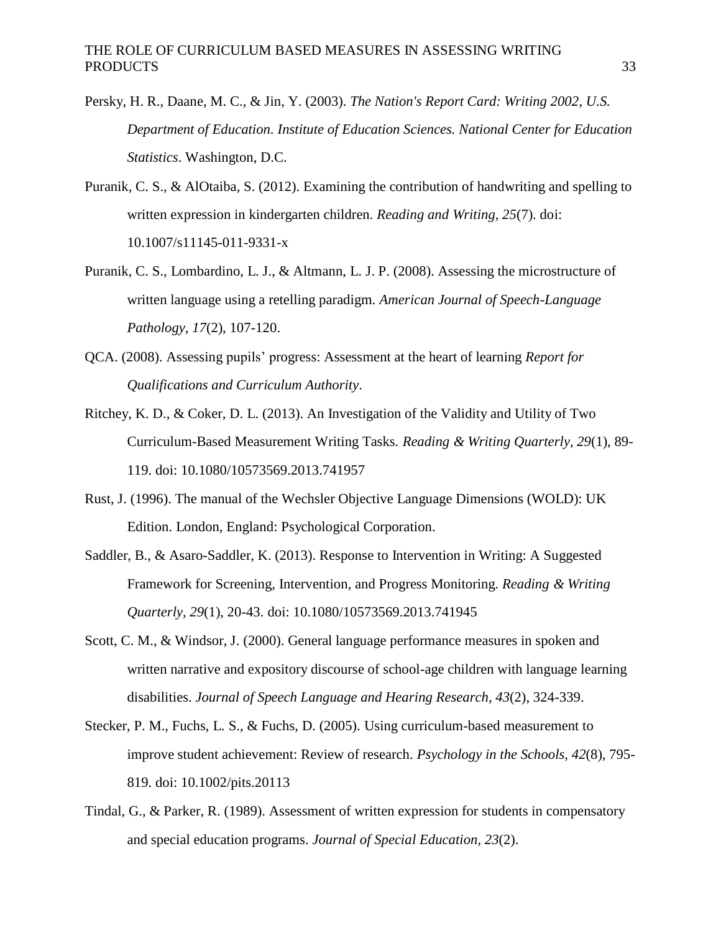- Persky, H. R., Daane, M. C., & Jin, Y. (2003). *The Nation's Report Card: Writing 2002*, *U.S. Department of Education. Institute of Education Sciences. National Center for Education Statistics*. Washington, D.C.
- Puranik, C. S., & AlOtaiba, S. (2012). Examining the contribution of handwriting and spelling to written expression in kindergarten children. *Reading and Writing, 25*(7). doi: 10.1007/s11145-011-9331-x
- Puranik, C. S., Lombardino, L. J., & Altmann, L. J. P. (2008). Assessing the microstructure of written language using a retelling paradigm. *American Journal of Speech-Language Pathology, 17*(2), 107-120.
- QCA. (2008). Assessing pupils' progress: Assessment at the heart of learning *Report for Qualifications and Curriculum Authority*.
- Ritchey, K. D., & Coker, D. L. (2013). An Investigation of the Validity and Utility of Two Curriculum-Based Measurement Writing Tasks. *Reading & Writing Quarterly, 29*(1), 89- 119. doi: 10.1080/10573569.2013.741957
- Rust, J. (1996). The manual of the Wechsler Objective Language Dimensions (WOLD): UK Edition. London, England: Psychological Corporation.
- Saddler, B., & Asaro-Saddler, K. (2013). Response to Intervention in Writing: A Suggested Framework for Screening, Intervention, and Progress Monitoring. *Reading & Writing Quarterly, 29*(1), 20-43. doi: 10.1080/10573569.2013.741945
- Scott, C. M., & Windsor, J. (2000). General language performance measures in spoken and written narrative and expository discourse of school-age children with language learning disabilities. *Journal of Speech Language and Hearing Research, 43*(2), 324-339.
- Stecker, P. M., Fuchs, L. S., & Fuchs, D. (2005). Using curriculum-based measurement to improve student achievement: Review of research. *Psychology in the Schools, 42*(8), 795- 819. doi: 10.1002/pits.20113
- Tindal, G., & Parker, R. (1989). Assessment of written expression for students in compensatory and special education programs. *Journal of Special Education, 23*(2).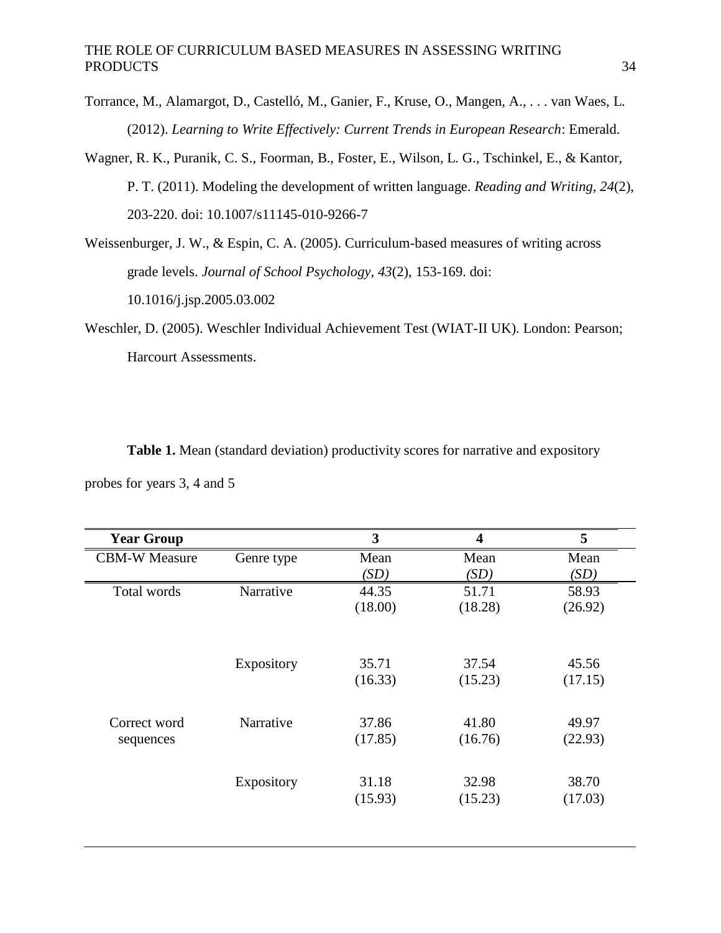Torrance, M., Alamargot, D., Castelló, M., Ganier, F., Kruse, O., Mangen, A., . . . van Waes, L. (2012). *Learning to Write Effectively: Current Trends in European Research*: Emerald.

- Wagner, R. K., Puranik, C. S., Foorman, B., Foster, E., Wilson, L. G., Tschinkel, E., & Kantor, P. T. (2011). Modeling the development of written language. *Reading and Writing, 24*(2), 203-220. doi: 10.1007/s11145-010-9266-7
- Weissenburger, J. W., & Espin, C. A. (2005). Curriculum-based measures of writing across grade levels. *Journal of School Psychology, 43*(2), 153-169. doi: 10.1016/j.jsp.2005.03.002
- Weschler, D. (2005). Weschler Individual Achievement Test (WIAT-II UK). London: Pearson; Harcourt Assessments.

Table 1. Mean (standard deviation) productivity scores for narrative and expository probes for years 3, 4 and 5

| <b>Year Group</b>    |            | 3       | $\overline{\mathbf{4}}$ | 5       |
|----------------------|------------|---------|-------------------------|---------|
| <b>CBM-W Measure</b> | Genre type | Mean    | Mean                    | Mean    |
|                      |            | (SD)    | (SD)                    | (SD)    |
| Total words          | Narrative  | 44.35   | 51.71                   | 58.93   |
|                      |            | (18.00) | (18.28)                 | (26.92) |
|                      |            |         |                         |         |
|                      | Expository | 35.71   | 37.54                   | 45.56   |
|                      |            | (16.33) | (15.23)                 | (17.15) |
|                      |            |         |                         |         |
| Correct word         | Narrative  | 37.86   | 41.80                   | 49.97   |
| sequences            |            | (17.85) | (16.76)                 | (22.93) |
|                      |            |         |                         |         |
|                      | Expository | 31.18   | 32.98                   | 38.70   |
|                      |            | (15.93) | (15.23)                 | (17.03) |
|                      |            |         |                         |         |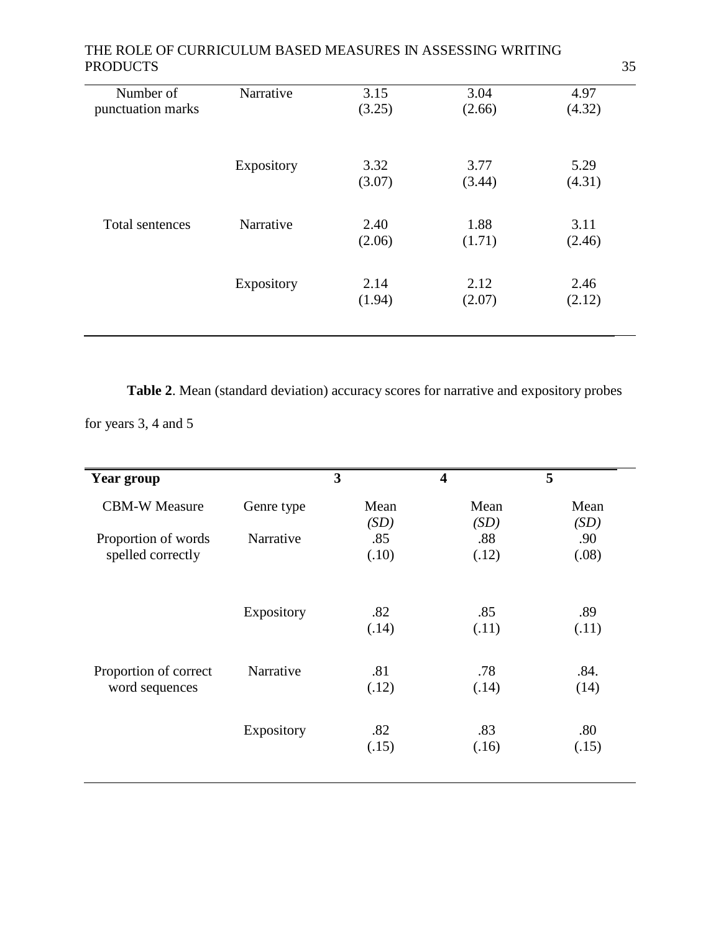| PRODUCTS                       |            |                |                | 35             |
|--------------------------------|------------|----------------|----------------|----------------|
| Number of<br>punctuation marks | Narrative  | 3.15<br>(3.25) | 3.04<br>(2.66) | 4.97<br>(4.32) |
|                                | Expository | 3.32<br>(3.07) | 3.77<br>(3.44) | 5.29<br>(4.31) |
| Total sentences                | Narrative  | 2.40<br>(2.06) | 1.88<br>(1.71) | 3.11<br>(2.46) |
|                                | Expository | 2.14<br>(1.94) | 2.12<br>(2.07) | 2.46<br>(2.12) |
|                                |            |                |                |                |

**Table 2**. Mean (standard deviation) accuracy scores for narrative and expository probes

for years 3, 4 and 5

| Year group            |            | 3     | $\overline{\mathbf{4}}$ | 5     |
|-----------------------|------------|-------|-------------------------|-------|
| <b>CBM-W Measure</b>  | Genre type | Mean  | Mean                    | Mean  |
|                       |            | (SD)  | (SD)                    | (SD)  |
| Proportion of words   | Narrative  | .85   | .88                     | .90   |
| spelled correctly     |            | (.10) | (.12)                   | (.08) |
|                       | Expository | .82   | .85                     | .89   |
|                       |            | (.14) | (.11)                   | (.11) |
| Proportion of correct | Narrative  | .81   | .78                     | .84.  |
| word sequences        |            | (.12) | (.14)                   | (14)  |
|                       | Expository | .82   | .83                     | .80   |
|                       |            | (.15) | (.16)                   | (.15) |
|                       |            |       |                         |       |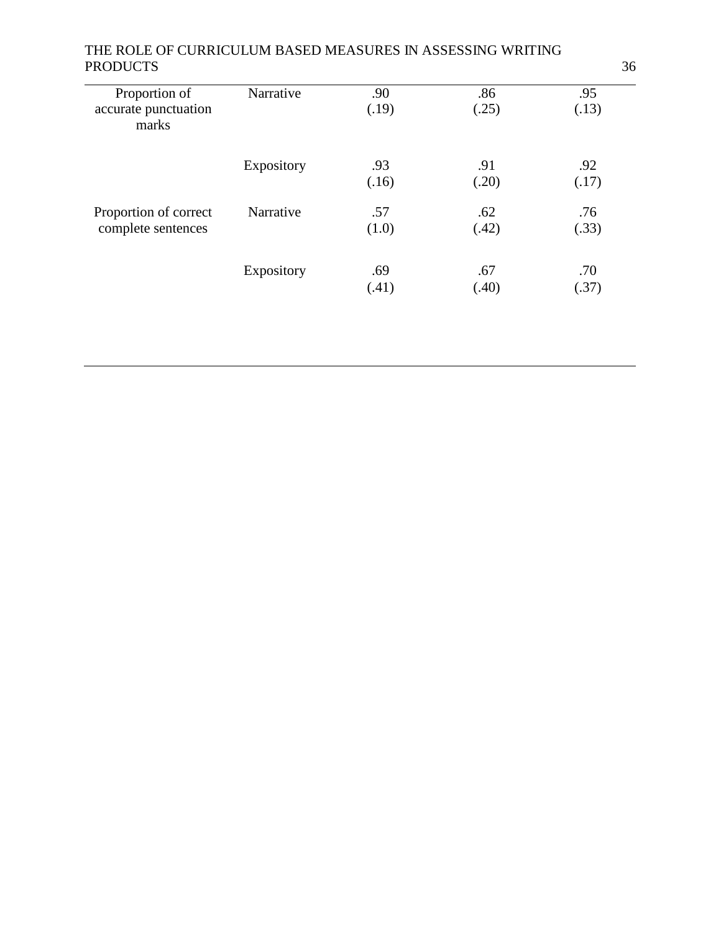|            |       |       | 36                                                         |
|------------|-------|-------|------------------------------------------------------------|
| Narrative  | .90   | .86   | .95                                                        |
|            | (.19) | (.25) | (.13)                                                      |
| Expository | .93   | .91   | .92                                                        |
|            | (.16) | (.20) | (.17)                                                      |
| Narrative  | .57   | .62   | .76                                                        |
|            | (1.0) | (.42) | (.33)                                                      |
| Expository | .69   | .67   | .70                                                        |
|            | (.41) | (.40) | (.37)                                                      |
|            |       |       | THE ROLE OF CURRICULUM BASED MEASURES IN ASSESSING WRITING |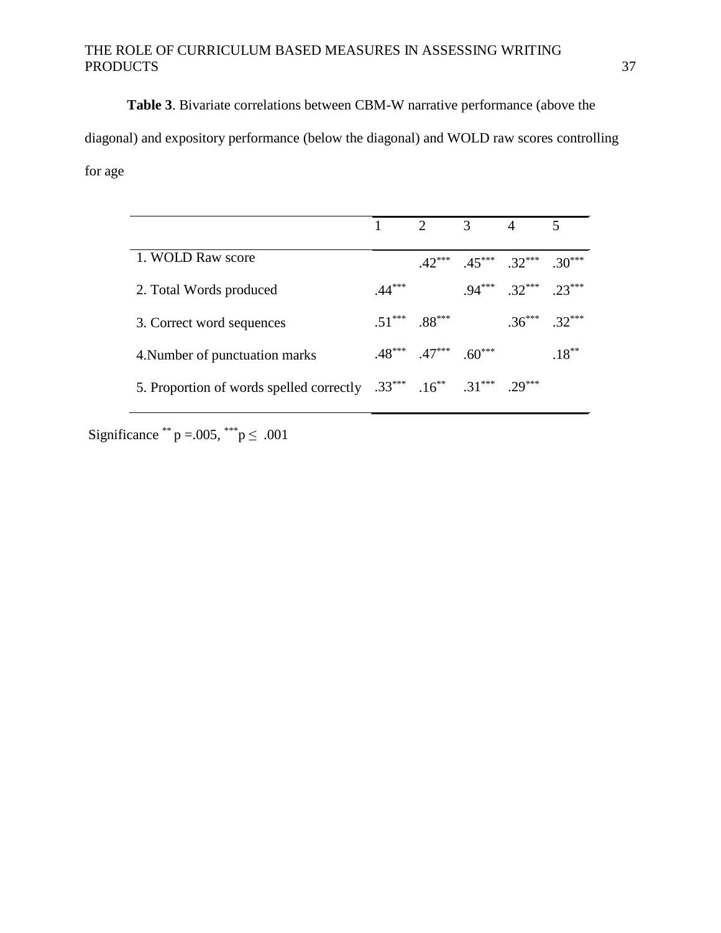**Table 3**. Bivariate correlations between CBM-W narrative performance (above the diagonal) and expository performance (below the diagonal) and WOLD raw scores controlling for age

|                                                                              |          | $1 \t 2 \t 3 \t 4$                  |                                     |                           | 5         |
|------------------------------------------------------------------------------|----------|-------------------------------------|-------------------------------------|---------------------------|-----------|
| 1. WOLD Raw score                                                            |          |                                     | $.42***$ $.45***$ $.32***$ $.30***$ |                           |           |
| 2. Total Words produced                                                      | $.44***$ |                                     |                                     | $94***$ $.32***$ $.23***$ |           |
| 3. Correct word sequences                                                    |          | $.51***$ $.88***$                   |                                     | $36***$ $32***$           |           |
| 4. Number of punctuation marks                                               |          | $.48***$ $.47***$ 60 <sup>***</sup> |                                     |                           | $18^{**}$ |
| 5. Proportion of words spelled correctly $.33***$ $.16***$ $.31***$ $.29***$ |          |                                     |                                     |                           |           |

Significance \*\*  $p = .005$ , \*\*\*  $p \le .001$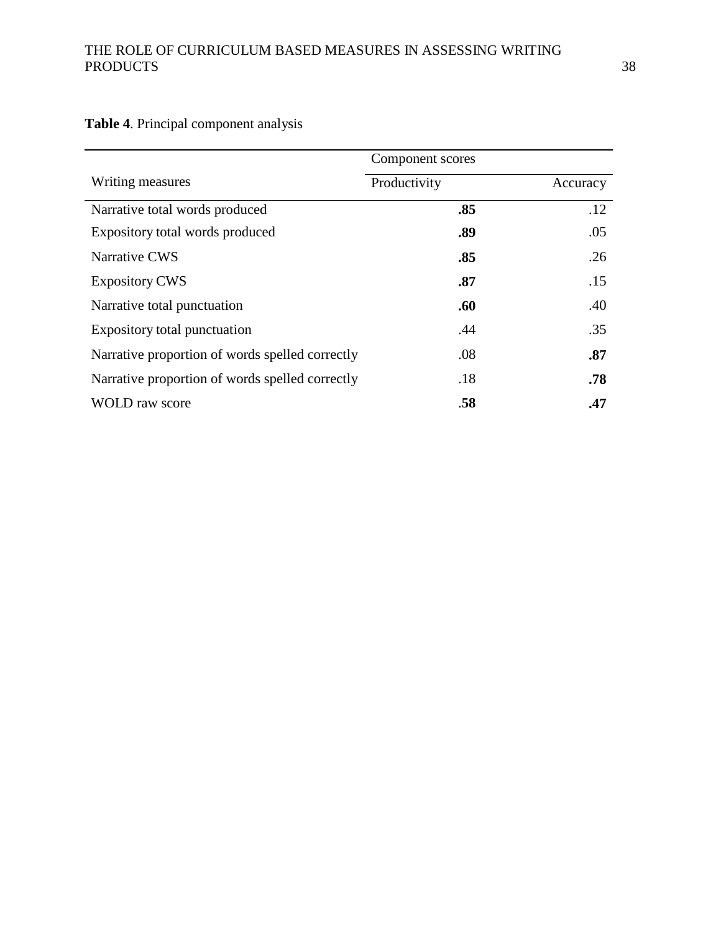|                                                 | Component scores |          |  |  |
|-------------------------------------------------|------------------|----------|--|--|
| Writing measures                                | Productivity     | Accuracy |  |  |
| Narrative total words produced                  | .85              | .12      |  |  |
| Expository total words produced                 | .89              | .05      |  |  |
| Narrative CWS                                   | .85              | .26      |  |  |
| <b>Expository CWS</b>                           | .87              | .15      |  |  |
| Narrative total punctuation                     | .60              | .40      |  |  |
| Expository total punctuation                    | .44              | .35      |  |  |
| Narrative proportion of words spelled correctly | .08              | .87      |  |  |
| Narrative proportion of words spelled correctly | .18              | .78      |  |  |
| WOLD raw score                                  | .58              | .47      |  |  |

# **Table 4**. Principal component analysis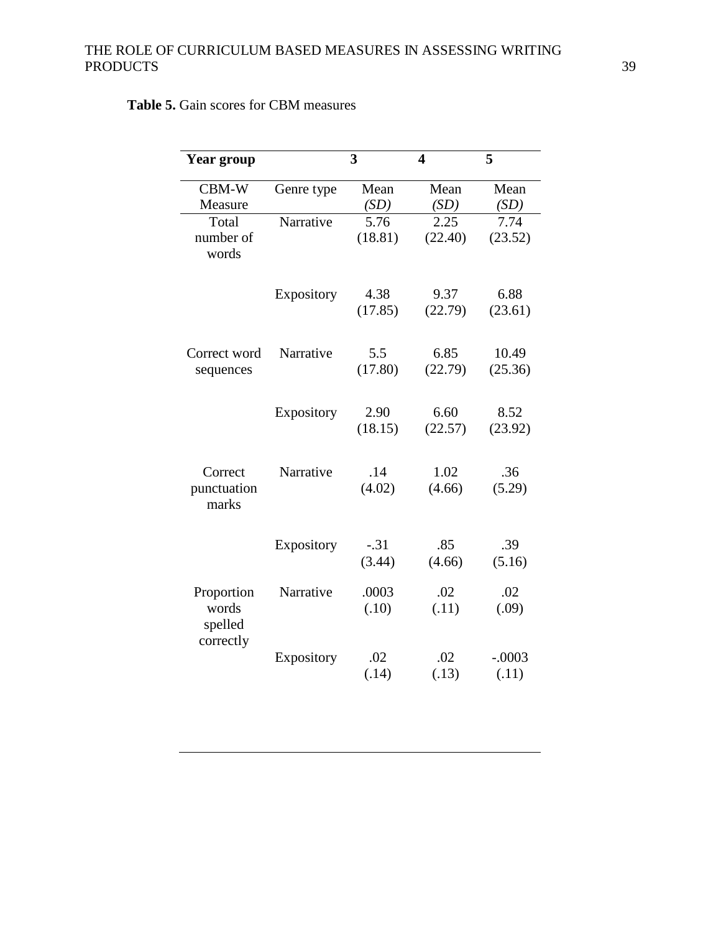## **Table 5.** Gain scores for CBM measures

| Year group                                  |            | 3                | $\overline{\mathbf{4}}$ | 5                 |
|---------------------------------------------|------------|------------------|-------------------------|-------------------|
| CBM-W<br>Measure                            | Genre type | Mean<br>(SD)     | Mean<br>(SD)            | Mean<br>(SD)      |
| Total<br>number of<br>words                 | Narrative  | 5.76<br>(18.81)  | 2.25<br>(22.40)         | 7.74<br>(23.52)   |
|                                             | Expository | 4.38<br>(17.85)  | 9.37<br>(22.79)         | 6.88<br>(23.61)   |
| Correct word<br>sequences                   | Narrative  | 5.5<br>(17.80)   | 6.85<br>(22.79)         | 10.49<br>(25.36)  |
|                                             | Expository | 2.90<br>(18.15)  | 6.60<br>(22.57)         | 8.52<br>(23.92)   |
| Correct<br>punctuation<br>marks             | Narrative  | .14<br>(4.02)    | 1.02<br>(4.66)          | .36<br>(5.29)     |
|                                             | Expository | $-.31$<br>(3.44) | .85<br>(4.66)           | .39<br>(5.16)     |
| Proportion<br>words<br>spelled<br>correctly | Narrative  | .0003<br>(.10)   | .02<br>(.11)            | .02<br>(.09)      |
|                                             | Expository | .02<br>(.14)     | .02<br>(.13)            | $-.0003$<br>(.11) |